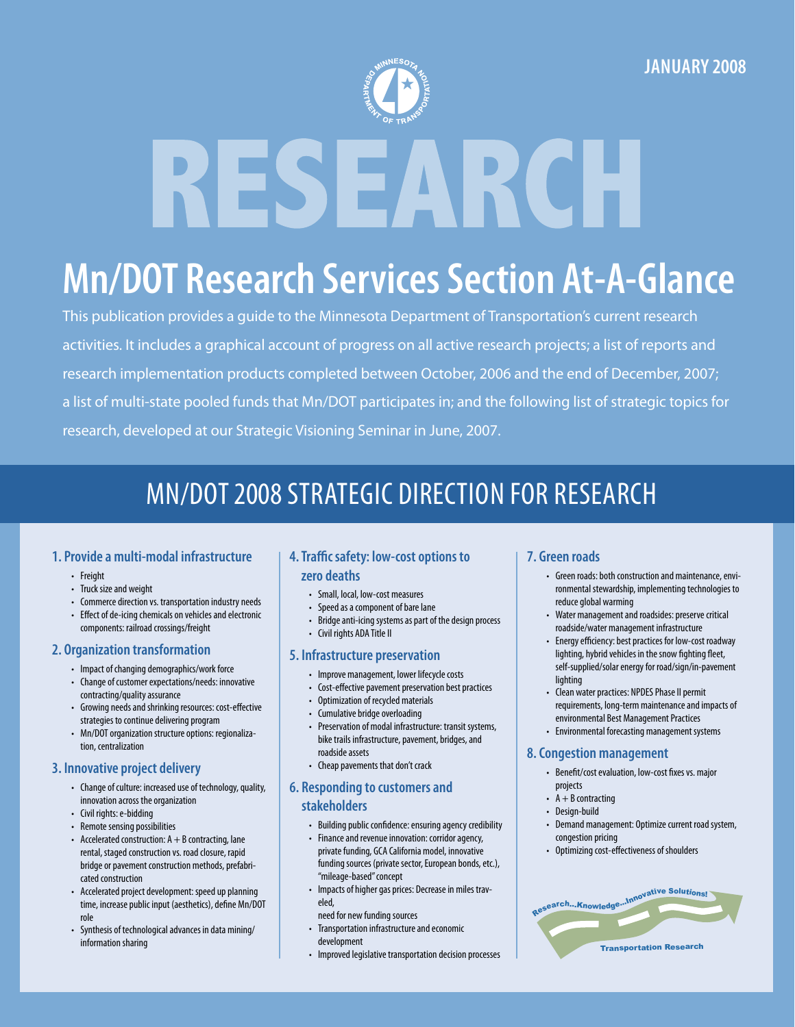

# **Mn/DOT Research Services Section At-A-Glance**

This publication provides a guide to the Minnesota Department of Transportation's current research activities. It includes a graphical account of progress on all active research projects; a list of reports and research implementation products completed between October, 2006 and the end of December, 2007; a list of multi-state pooled funds that Mn/DOT participates in; and the following list of strategic topics for research, developed at our Strategic Visioning Seminar in June, 2007.

### Mn/DOT 2008 Strategic Direction for Research

#### **1. Provide a multi-modal infrastructure**

- Freight
- Truck size and weight
- Commerce direction vs. transportation industry needs
- Effect of de-icing chemicals on vehicles and electronic components: railroad crossings/freight
- **2. Organization transformation**
	- Impact of changing demographics/work force
	- Change of customer expectations/needs: innovative contracting/quality assurance
	- Growing needs and shrinking resources: cost-effective strategies to continue delivering program
	- Mn/DOT organization structure options: regionalization, centralization

### **3. Innovative project delivery**

- Change of culture: increased use of technology, quality, innovation across the organization
- Civil rights: e-bidding
- Remote sensing possibilities
- Accelerated construction:  $A + B$  contracting, lane rental, staged construction vs. road closure, rapid bridge or pavement construction methods, prefabricated construction
- Accelerated project development: speed up planning time, increase public input (aesthetics), define Mn/DOT role
- Synthesis of technological advances in data mining/ information sharing

### **4. Traffic safety: low-cost options to zero deaths**

- Small, local, low-cost measures
- Speed as a component of bare lane
- Bridge anti-icing systems as part of the design process
- Civil rights ADA Title II

#### **5. Infrastructure preservation**

- Improve management, lower lifecycle costs
- Cost-effective pavement preservation best practices
- Optimization of recycled materials
- Cumulative bridge overloading
- Preservation of modal infrastructure: transit systems, bike trails infrastructure, pavement, bridges, and roadside assets
- Cheap pavements that don't crack

### **6. Responding to customers and stakeholders**

- Building public confidence: ensuring agency credibility
- Finance and revenue innovation: corridor agency, private funding, GCA California model, innovative funding sources (private sector, European bonds, etc.), "mileage-based" concept
- Impacts of higher gas prices: Decrease in miles traveled,
- need for new funding sources
- Transportation infrastructure and economic development
- Improved legislative transportation decision processes

### **7. Green roads**

- Green roads: both construction and maintenance, environmental stewardship, implementing technologies to reduce global warming
- Water management and roadsides: preserve critical roadside/water management infrastructure
- Energy efficiency: best practices for low-cost roadway lighting, hybrid vehicles in the snow fighting fleet, self-supplied/solar energy for road/sign/in-pavement lighting
- Clean water practices: NPDES Phase II permit requirements, long-term maintenance and impacts of environmental Best Management Practices
- Environmental forecasting management systems

#### **8. Congestion management**

- Benefit/cost evaluation, low-cost fixes vs. major projects
- $A + B$  contracting
- Design-build
- Demand management: Optimize current road system, congestion pricing
- Optimizing cost-effectiveness of shoulders

| ResearchKnowledgeInnovative Solutions! |
|----------------------------------------|
|                                        |
| <b>Transportation Research</b>         |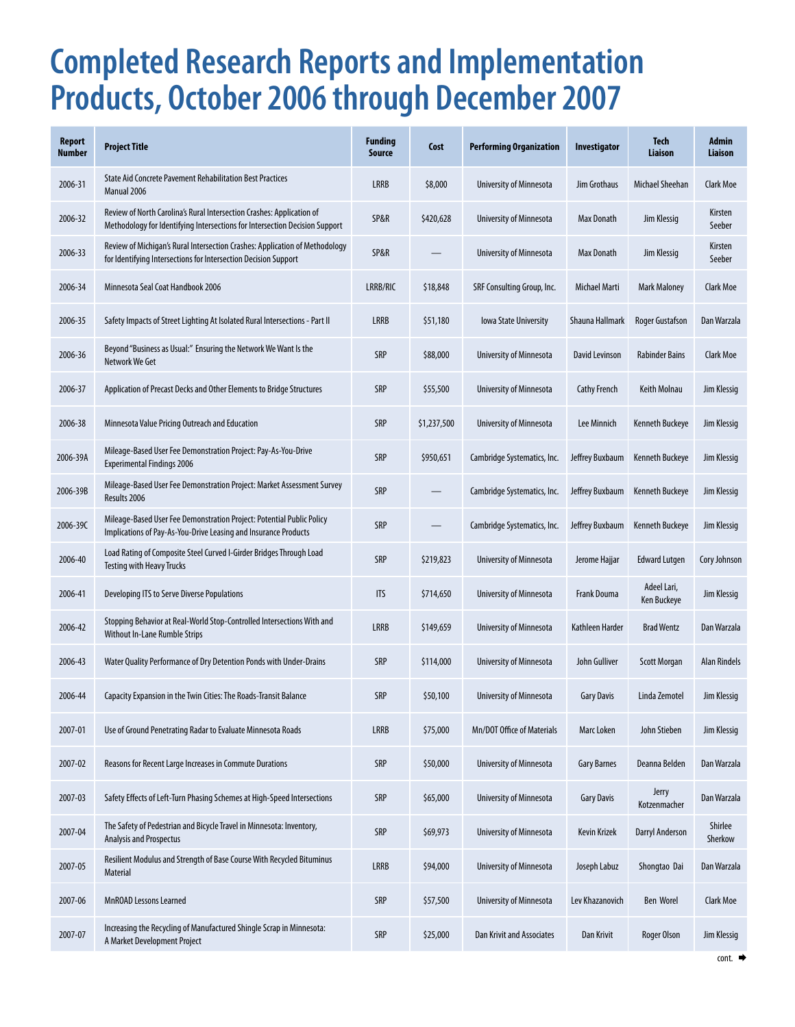## **Completed Research Reports and Implementation Products, October 2006 through December 2007**

| <b>Report</b><br><b>Number</b> | <b>Project Title</b>                                                                                                                                 | <b>Funding</b><br><b>Source</b> | Cost        | <b>Performing Organization</b> | Investigator        | <b>Tech</b><br>Liaison     | Admin<br><b>Liaison</b> |
|--------------------------------|------------------------------------------------------------------------------------------------------------------------------------------------------|---------------------------------|-------------|--------------------------------|---------------------|----------------------------|-------------------------|
| 2006-31                        | <b>State Aid Concrete Pavement Rehabilitation Best Practices</b><br>Manual 2006                                                                      | <b>LRRB</b>                     | \$8,000     | University of Minnesota        | Jim Grothaus        | Michael Sheehan            | <b>Clark Moe</b>        |
| 2006-32                        | Review of North Carolina's Rural Intersection Crashes: Application of<br>Methodology for Identifying Intersections for Intersection Decision Support | SP&R                            | \$420,628   | University of Minnesota        | Max Donath          | Jim Klessig                | Kirsten<br>Seeber       |
| 2006-33                        | Review of Michigan's Rural Intersection Crashes: Application of Methodology<br>for Identifying Intersections for Intersection Decision Support       | SP&R                            |             | University of Minnesota        | Max Donath          | Jim Klessig                | Kirsten<br>Seeber       |
| 2006-34                        | Minnesota Seal Coat Handbook 2006                                                                                                                    | LRRB/RIC                        | \$18,848    | SRF Consulting Group, Inc.     | Michael Marti       | Mark Maloney               | <b>Clark Moe</b>        |
| 2006-35                        | Safety Impacts of Street Lighting At Isolated Rural Intersections - Part II                                                                          | <b>LRRB</b>                     | \$51,180    | <b>Iowa State University</b>   | Shauna Hallmark     | <b>Roger Gustafson</b>     | Dan Warzala             |
| 2006-36                        | Beyond "Business as Usual:" Ensuring the Network We Want Is the<br>Network We Get                                                                    | <b>SRP</b>                      | \$88,000    | University of Minnesota        | David Levinson      | <b>Rabinder Bains</b>      | Clark Moe               |
| 2006-37                        | Application of Precast Decks and Other Elements to Bridge Structures                                                                                 | <b>SRP</b>                      | \$55,500    | University of Minnesota        | <b>Cathy French</b> | Keith Molnau               | Jim Klessig             |
| 2006-38                        | Minnesota Value Pricing Outreach and Education                                                                                                       | <b>SRP</b>                      | \$1,237,500 | University of Minnesota        | Lee Minnich         | Kenneth Buckeye            | Jim Klessig             |
| 2006-39A                       | Mileage-Based User Fee Demonstration Project: Pay-As-You-Drive<br><b>Experimental Findings 2006</b>                                                  | <b>SRP</b>                      | \$950,651   | Cambridge Systematics, Inc.    | Jeffrey Buxbaum     | Kenneth Buckeye            | Jim Klessig             |
| 2006-39B                       | Mileage-Based User Fee Demonstration Project: Market Assessment Survey<br>Results 2006                                                               | <b>SRP</b>                      |             | Cambridge Systematics, Inc.    | Jeffrey Buxbaum     | Kenneth Buckeye            | Jim Klessig             |
| 2006-39C                       | Mileage-Based User Fee Demonstration Project: Potential Public Policy<br>Implications of Pay-As-You-Drive Leasing and Insurance Products             | <b>SRP</b>                      |             | Cambridge Systematics, Inc.    | Jeffrey Buxbaum     | Kenneth Buckeye            | Jim Klessig             |
| 2006-40                        | Load Rating of Composite Steel Curved I-Girder Bridges Through Load<br><b>Testing with Heavy Trucks</b>                                              | <b>SRP</b>                      | \$219,823   | University of Minnesota        | Jerome Hajjar       | <b>Edward Lutgen</b>       | Cory Johnson            |
| 2006-41                        | Developing ITS to Serve Diverse Populations                                                                                                          | <b>ITS</b>                      | \$714,650   | University of Minnesota        | Frank Douma         | Adeel Lari,<br>Ken Buckeye | Jim Klessig             |
| 2006-42                        | Stopping Behavior at Real-World Stop-Controlled Intersections With and<br><b>Without In-Lane Rumble Strips</b>                                       | <b>LRRB</b>                     | \$149,659   | University of Minnesota        | Kathleen Harder     | <b>Brad Wentz</b>          | Dan Warzala             |
| 2006-43                        | Water Quality Performance of Dry Detention Ponds with Under-Drains                                                                                   | <b>SRP</b>                      | \$114,000   | University of Minnesota        | John Gulliver       | <b>Scott Morgan</b>        | <b>Alan Rindels</b>     |
| 2006-44                        | Capacity Expansion in the Twin Cities: The Roads-Transit Balance                                                                                     | <b>SRP</b>                      | \$50,100    | University of Minnesota        | <b>Gary Davis</b>   | Linda Zemotel              | Jim Klessig             |
| 2007-01                        | Use of Ground Penetrating Radar to Evaluate Minnesota Roads                                                                                          | <b>LRRB</b>                     | \$75,000    | Mn/DOT Office of Materials     | Marc Loken          | John Stieben               | Jim Klessig             |
| 2007-02                        | Reasons for Recent Large Increases in Commute Durations                                                                                              | SRP                             | \$50,000    | University of Minnesota        | <b>Gary Barnes</b>  | Deanna Belden              | Dan Warzala             |
| 2007-03                        | Safety Effects of Left-Turn Phasing Schemes at High-Speed Intersections                                                                              | SRP                             | \$65,000    | University of Minnesota        | <b>Gary Davis</b>   | Jerry<br>Kotzenmacher      | Dan Warzala             |
| 2007-04                        | The Safety of Pedestrian and Bicycle Travel in Minnesota: Inventory,<br>Analysis and Prospectus                                                      | SRP                             | \$69,973    | University of Minnesota        | Kevin Krizek        | Darryl Anderson            | Shirlee<br>Sherkow      |
| 2007-05                        | Resilient Modulus and Strength of Base Course With Recycled Bituminus<br><b>Material</b>                                                             | <b>LRRB</b>                     | \$94,000    | University of Minnesota        | Joseph Labuz        | Shongtao Dai               | Dan Warzala             |
| 2007-06                        | MnROAD Lessons Learned                                                                                                                               | <b>SRP</b>                      | \$57,500    | University of Minnesota        | Lev Khazanovich     | Ben Worel                  | Clark Moe               |
| 2007-07                        | Increasing the Recycling of Manufactured Shingle Scrap in Minnesota:<br>A Market Development Project                                                 | <b>SRP</b>                      | \$25,000    | Dan Krivit and Associates      | Dan Krivit          | Roger Olson                | Jim Klessig             |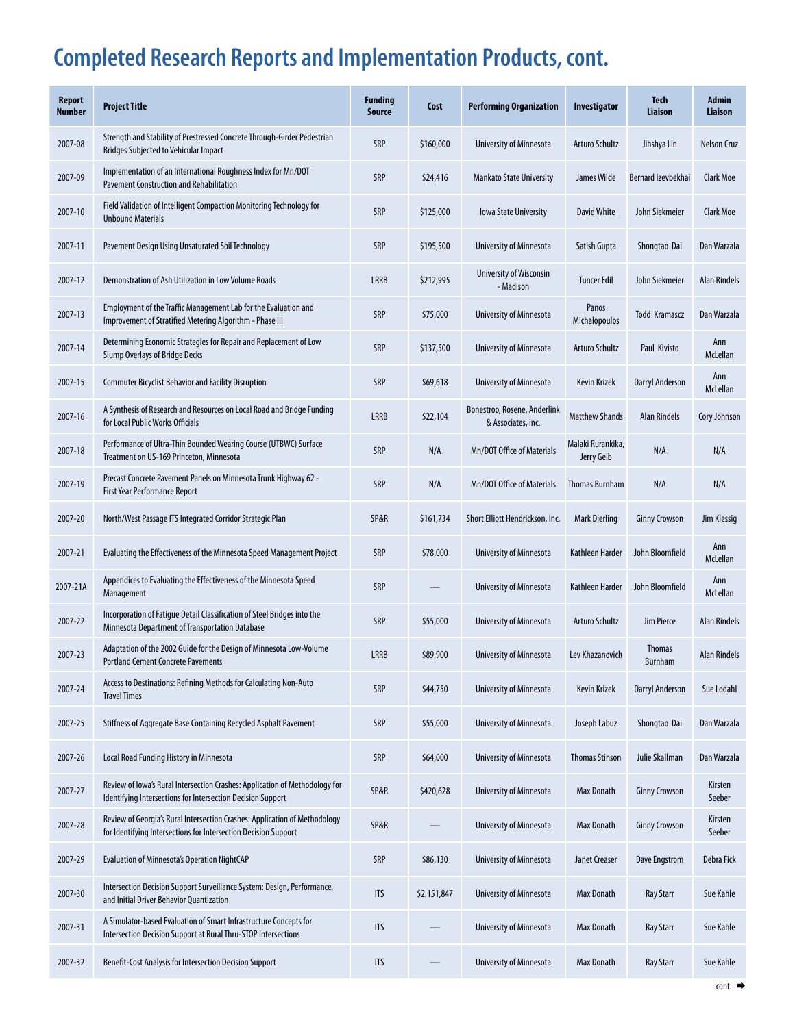### **Completed Research Reports and Implementation Products, cont.**

| <b>Report</b><br><b>Number</b> | <b>Project Title</b>                                                                                                                          | <b>Funding</b><br><b>Source</b> | Cost        | <b>Performing Organization</b>                     | Investigator                    | <b>Tech</b><br>Liaison   | <b>Admin</b><br>Liaison |
|--------------------------------|-----------------------------------------------------------------------------------------------------------------------------------------------|---------------------------------|-------------|----------------------------------------------------|---------------------------------|--------------------------|-------------------------|
| 2007-08                        | Strength and Stability of Prestressed Concrete Through-Girder Pedestrian<br><b>Bridges Subjected to Vehicular Impact</b>                      | SRP                             | \$160,000   | University of Minnesota                            | <b>Arturo Schultz</b>           | Jihshya Lin              | Nelson Cruz             |
| 2007-09                        | Implementation of an International Roughness Index for Mn/DOT<br><b>Pavement Construction and Rehabilitation</b>                              | <b>SRP</b>                      | \$24,416    | <b>Mankato State University</b>                    | James Wilde                     | Bernard Izevbekhai       | Clark Moe               |
| 2007-10                        | Field Validation of Intelligent Compaction Monitoring Technology for<br><b>Unbound Materials</b>                                              | SRP                             | \$125,000   | <b>Iowa State University</b>                       | <b>David White</b>              | John Siekmeier           | Clark Moe               |
| 2007-11                        | Pavement Design Using Unsaturated Soil Technology                                                                                             | <b>SRP</b>                      | \$195,500   | University of Minnesota                            | Satish Gupta                    | Shongtao Dai             | Dan Warzala             |
| 2007-12                        | Demonstration of Ash Utilization in Low Volume Roads                                                                                          | <b>LRRB</b>                     | \$212,995   | University of Wisconsin<br>- Madison               | <b>Tuncer Edil</b>              | John Siekmeier           | <b>Alan Rindels</b>     |
| 2007-13                        | Employment of the Traffic Management Lab for the Evaluation and<br>Improvement of Stratified Metering Algorithm - Phase III                   | <b>SRP</b>                      | \$75,000    | University of Minnesota                            | Panos<br>Michalopoulos          | <b>Todd Kramascz</b>     | Dan Warzala             |
| 2007-14                        | Determining Economic Strategies for Repair and Replacement of Low<br><b>Slump Overlays of Bridge Decks</b>                                    | <b>SRP</b>                      | \$137,500   | University of Minnesota                            | <b>Arturo Schultz</b>           | Paul Kivisto             | Ann<br>McLellan         |
| 2007-15                        | <b>Commuter Bicyclist Behavior and Facility Disruption</b>                                                                                    | SRP                             | \$69,618    | University of Minnesota                            | <b>Kevin Krizek</b>             | <b>Darryl Anderson</b>   | Ann<br>McLellan         |
| 2007-16                        | A Synthesis of Research and Resources on Local Road and Bridge Funding<br>for Local Public Works Officials                                    | <b>LRRB</b>                     | \$22,104    | Bonestroo, Rosene, Anderlink<br>& Associates, inc. | <b>Matthew Shands</b>           | <b>Alan Rindels</b>      | Cory Johnson            |
| 2007-18                        | Performance of Ultra-Thin Bounded Wearing Course (UTBWC) Surface<br>Treatment on US-169 Princeton, Minnesota                                  | SRP                             | N/A         | Mn/DOT Office of Materials                         | Malaki Rurankika,<br>Jerry Geib | N/A                      | N/A                     |
| 2007-19                        | Precast Concrete Pavement Panels on Minnesota Trunk Highway 62 -<br><b>First Year Performance Report</b>                                      | SRP                             | N/A         | Mn/DOT Office of Materials                         | <b>Thomas Burnham</b>           | N/A                      | N/A                     |
| 2007-20                        | North/West Passage ITS Integrated Corridor Strategic Plan                                                                                     | SP&R                            | \$161,734   | Short Elliott Hendrickson, Inc.                    | <b>Mark Dierling</b>            | <b>Ginny Crowson</b>     | Jim Klessig             |
| 2007-21                        | Evaluating the Effectiveness of the Minnesota Speed Management Project                                                                        | SRP                             | \$78,000    | University of Minnesota                            | Kathleen Harder                 | John Bloomfield          | Ann<br>McLellan         |
| 2007-21A                       | Appendices to Evaluating the Effectiveness of the Minnesota Speed<br>Management                                                               | SRP                             |             | University of Minnesota                            | Kathleen Harder                 | John Bloomfield          | Ann<br>McLellan         |
| 2007-22                        | Incorporation of Fatigue Detail Classification of Steel Bridges into the<br>Minnesota Department of Transportation Database                   | SRP                             | \$55,000    | University of Minnesota                            | Arturo Schultz                  | Jim Pierce               | <b>Alan Rindels</b>     |
| 2007-23                        | Adaptation of the 2002 Guide for the Design of Minnesota Low-Volume<br>Portland Cement Concrete Pavements                                     | <b>LRRB</b>                     | \$89,900    | University of Minnesota                            | Lev Khazanovich                 | <b>Thomas</b><br>Burnham | <b>Alan Rindels</b>     |
| 2007-24                        | Access to Destinations: Refining Methods for Calculating Non-Auto<br><b>Travel Times</b>                                                      | SRP                             | \$44,750    | University of Minnesota                            | <b>Kevin Krizek</b>             | Darryl Anderson          | Sue Lodahl              |
| 2007-25                        | Stiffness of Aggregate Base Containing Recycled Asphalt Pavement                                                                              | SRP                             | \$55,000    | University of Minnesota                            | Joseph Labuz                    | Shongtao Dai             | Dan Warzala             |
| 2007-26                        | Local Road Funding History in Minnesota                                                                                                       | SRP                             | \$64,000    | University of Minnesota                            | <b>Thomas Stinson</b>           | Julie Skallman           | Dan Warzala             |
| 2007-27                        | Review of Iowa's Rural Intersection Crashes: Application of Methodology for<br>Identifying Intersections for Intersection Decision Support    | SP&R                            | \$420,628   | University of Minnesota                            | Max Donath                      | <b>Ginny Crowson</b>     | Kirsten<br>Seeber       |
| 2007-28                        | Review of Georgia's Rural Intersection Crashes: Application of Methodology<br>for Identifying Intersections for Intersection Decision Support | SP&R                            |             | University of Minnesota                            | Max Donath                      | <b>Ginny Crowson</b>     | Kirsten<br>Seeber       |
| 2007-29                        | <b>Evaluation of Minnesota's Operation NightCAP</b>                                                                                           | SRP                             | \$86,130    | University of Minnesota                            | Janet Creaser                   | Dave Engstrom            | Debra Fick              |
| 2007-30                        | Intersection Decision Support Surveillance System: Design, Performance,<br>and Initial Driver Behavior Quantization                           | <b>ITS</b>                      | \$2,151,847 | University of Minnesota                            | <b>Max Donath</b>               | <b>Ray Starr</b>         | Sue Kahle               |
| 2007-31                        | A Simulator-based Evaluation of Smart Infrastructure Concepts for<br>Intersection Decision Support at Rural Thru-STOP Intersections           | <b>ITS</b>                      |             | <b>University of Minnesota</b>                     | Max Donath                      | <b>Ray Starr</b>         | Sue Kahle               |
| 2007-32                        | Benefit-Cost Analysis for Intersection Decision Support                                                                                       | <b>ITS</b>                      |             | University of Minnesota                            | Max Donath                      | <b>Ray Starr</b>         | Sue Kahle               |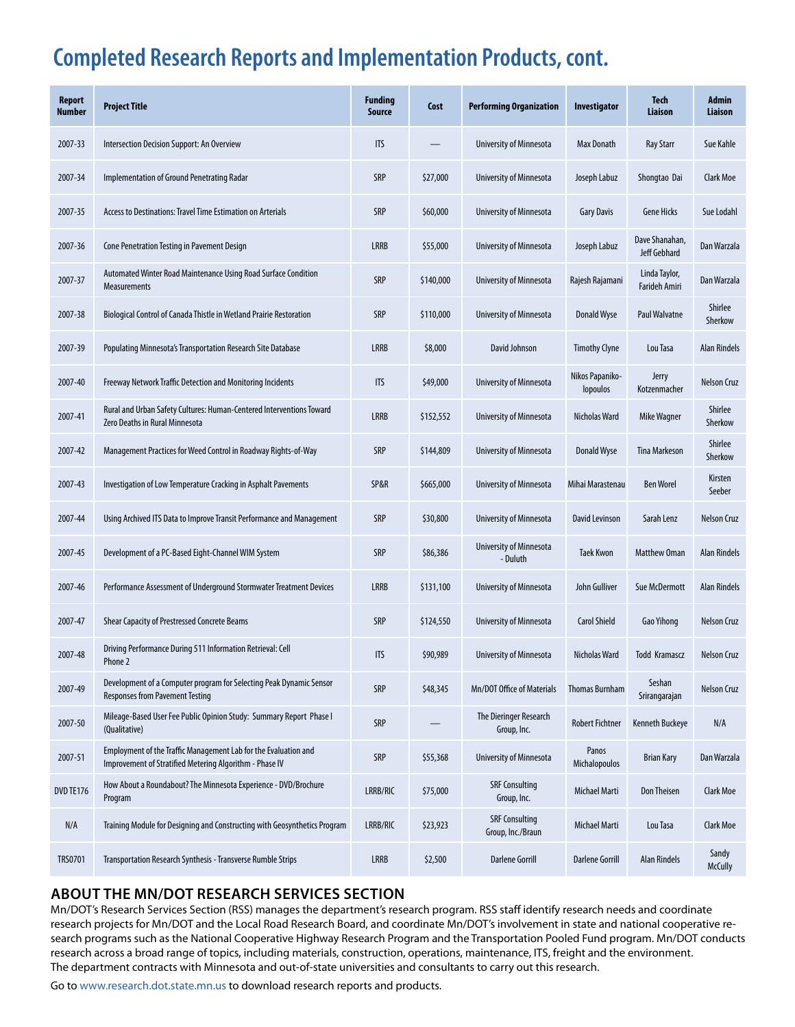### **Completed Research Reports and Implementation Products, cont.**

| <b>Report</b><br><b>Number</b> | <b>Project Title</b>                                                                                                       | <b>Funding</b><br>Source | Cost      | <b>Performing Organization</b>             | Investigator                | <b>Tech</b><br>Liaison         | <b>Admin</b><br><b>Liaison</b> |
|--------------------------------|----------------------------------------------------------------------------------------------------------------------------|--------------------------|-----------|--------------------------------------------|-----------------------------|--------------------------------|--------------------------------|
| 2007-33                        | Intersection Decision Support: An Overview                                                                                 | <b>ITS</b>               |           | University of Minnesota                    | <b>Max Donath</b>           | <b>Ray Starr</b>               | Sue Kahle                      |
| 2007-34                        | Implementation of Ground Penetrating Radar                                                                                 | <b>SRP</b>               | \$27,000  | University of Minnesota                    | Joseph Labuz                | Shongtao Dai                   | <b>Clark Moe</b>               |
| 2007-35                        | Access to Destinations: Travel Time Estimation on Arterials                                                                | SRP                      | \$60,000  | University of Minnesota                    | <b>Gary Davis</b>           | <b>Gene Hicks</b>              | Sue Lodahl                     |
| 2007-36                        | Cone Penetration Testing in Pavement Design                                                                                | <b>LRRB</b>              | \$55,000  | University of Minnesota                    | Joseph Labuz                | Dave Shanahan,<br>Jeff Gebhard | Dan Warzala                    |
| 2007-37                        | Automated Winter Road Maintenance Using Road Surface Condition<br>Measurements                                             | SRP                      | \$140,000 | <b>University of Minnesota</b>             | Rajesh Rajamani             | Linda Taylor,<br>Farideh Amiri | Dan Warzala                    |
| 2007-38                        | Biological Control of Canada Thistle in Wetland Prairie Restoration                                                        | <b>SRP</b>               | \$110,000 | University of Minnesota                    | <b>Donald Wyse</b>          | <b>Paul Walvatne</b>           | Shirlee<br>Sherkow             |
| 2007-39                        | Populating Minnesota's Transportation Research Site Database                                                               | <b>LRRB</b>              | \$8,000   | David Johnson                              | <b>Timothy Clyne</b>        | Lou Tasa                       | <b>Alan Rindels</b>            |
| 2007-40                        | Freeway Network Traffic Detection and Monitoring Incidents                                                                 | <b>ITS</b>               | \$49,000  | University of Minnesota                    | Nikos Papaniko-<br>lopoulos | Jerry<br>Kotzenmacher          | <b>Nelson Cruz</b>             |
| 2007-41                        | Rural and Urban Safety Cultures: Human-Centered Interventions Toward<br>Zero Deaths in Rural Minnesota                     | <b>LRRB</b>              | \$152,552 | University of Minnesota                    | Nicholas Ward               | Mike Wagner                    | Shirlee<br>Sherkow             |
| 2007-42                        | Management Practices for Weed Control in Roadway Rights-of-Way                                                             | SRP                      | \$144,809 | University of Minnesota                    | <b>Donald Wyse</b>          | <b>Tina Markeson</b>           | Shirlee<br>Sherkow             |
| 2007-43                        | Investigation of Low Temperature Cracking in Asphalt Pavements                                                             | SP&R                     | \$665,000 | University of Minnesota                    | Mihai Marastenau            | <b>Ben Worel</b>               | Kirsten<br>Seeber              |
| 2007-44                        | Using Archived ITS Data to Improve Transit Performance and Management                                                      | SRP                      | \$30,800  | University of Minnesota                    | David Levinson              | Sarah Lenz                     | <b>Nelson Cruz</b>             |
| 2007-45                        | Development of a PC-Based Eight-Channel WIM System                                                                         | SRP                      | \$86,386  | University of Minnesota<br>- Duluth        | <b>Taek Kwon</b>            | <b>Matthew Oman</b>            | <b>Alan Rindels</b>            |
| 2007-46                        | Performance Assessment of Underground Stormwater Treatment Devices                                                         | <b>LRRB</b>              | \$131,100 | <b>University of Minnesota</b>             | John Gulliver               | Sue McDermott                  | <b>Alan Rindels</b>            |
| 2007-47                        | Shear Capacity of Prestressed Concrete Beams                                                                               | SRP                      | \$124,550 | University of Minnesota                    | <b>Carol Shield</b>         | Gao Yihong                     | <b>Nelson Cruz</b>             |
| 2007-48                        | Driving Performance During 511 Information Retrieval: Cell<br>Phone 2                                                      | <b>ITS</b>               | \$90,989  | University of Minnesota                    | Nicholas Ward               | Todd Kramascz                  | Nelson Cruz                    |
| 2007-49                        | Development of a Computer program for Selecting Peak Dynamic Sensor<br><b>Responses from Pavement Testing</b>              | SRP                      | \$48,345  | Mn/DOT Office of Materials                 | <b>Thomas Burnham</b>       | Seshan<br>Srirangarajan        | <b>Nelson Cruz</b>             |
| 2007-50                        | Mileage-Based User Fee Public Opinion Study: Summary Report Phase I<br>(Qualitative)                                       | SRP                      |           | The Dieringer Research<br>Group, Inc.      | <b>Robert Fichtner</b>      | <b>Kenneth Buckeye</b>         | N/A                            |
| 2007-51                        | Employment of the Traffic Management Lab for the Evaluation and<br>Improvement of Stratified Metering Algorithm - Phase IV | SRP                      | \$55,368  | University of Minnesota                    | Panos<br>Michalopoulos      | <b>Brian Kary</b>              | Dan Warzala                    |
| DVD TE176                      | How About a Roundabout? The Minnesota Experience - DVD/Brochure<br>Program                                                 | LRRB/RIC                 | \$75,000  | <b>SRF Consulting</b><br>Group, Inc.       | Michael Marti               | Don Theisen                    | <b>Clark Moe</b>               |
| N/A                            | Training Module for Designing and Constructing with Geosynthetics Program                                                  | LRRB/RIC                 | \$23,923  | <b>SRF Consulting</b><br>Group, Inc./Braun | Michael Marti               | Lou Tasa                       | <b>Clark Moe</b>               |
| <b>TRS0701</b>                 | Transportation Research Synthesis - Transverse Rumble Strips                                                               | <b>LRRB</b>              | \$2,500   | <b>Darlene Gorrill</b>                     | <b>Darlene Gorrill</b>      | <b>Alan Rindels</b>            | Sandy<br><b>McCully</b>        |

### **about the Mn/DOT Research Services Section**

Mn/DOT's Research Services Section (RSS) manages the department's research program. RSS staff identify research needs and coordinate research projects for Mn/DOT and the Local Road Research Board, and coordinate Mn/DOT's involvement in state and national cooperative research programs such as the National Cooperative Highway Research Program and the Transportation Pooled Fund program. Mn/DOT conducts research across a broad range of topics, including materials, construction, operations, maintenance, ITS, freight and the environment. The department contracts with Minnesota and out-of-state universities and consultants to carry out this research.

Go to www.research.dot.state.mn.us to download research reports and products.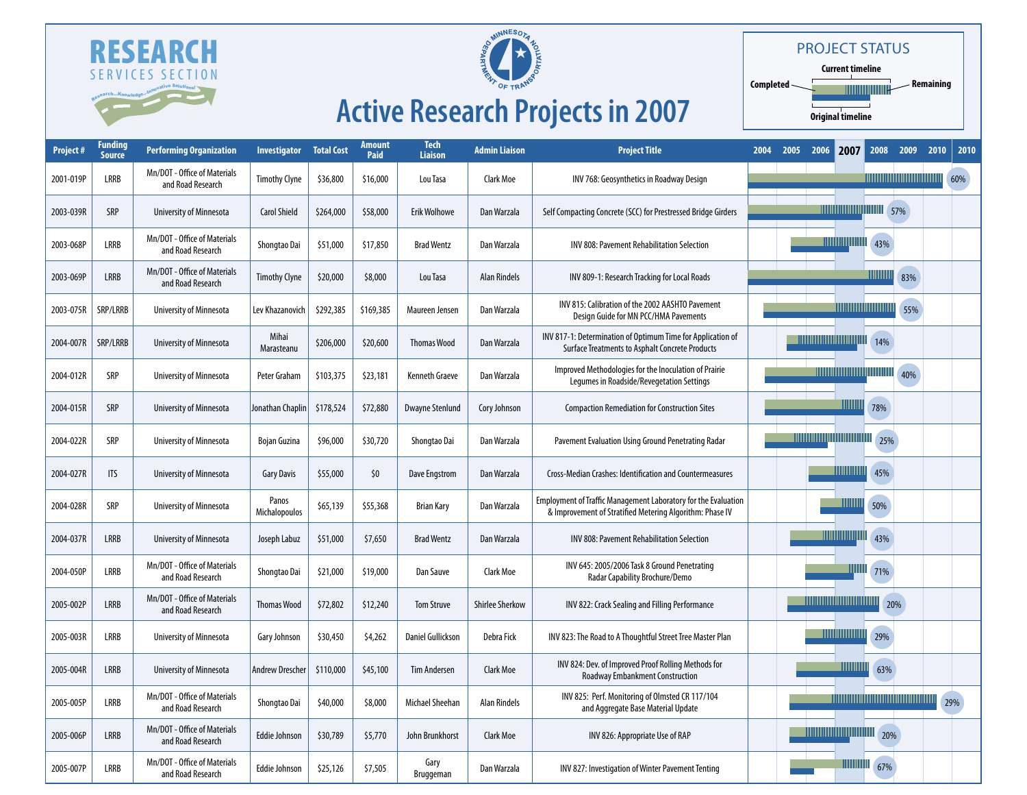



### Project Status

**Current timeline Completed**  $\Gamma$ **Remaining** TIIIIIII **Original timeline**

# **Active Research Projects in 2007**

| <b>Project#</b> | <u>Funding</u><br><b>Source</b> | <b>Performing Organization</b>                    | <b>Investigator</b>    | <b>Total Cost</b> | Amount<br>Paid | <b>Tech</b><br>Liaison | <b>Admin Liaison</b>   | <b>Project Title</b>                                                                                                              | 2004 | 2005 | 2006 | 2007                                        |     | 2008 2009                            | 2010 | 2010 |
|-----------------|---------------------------------|---------------------------------------------------|------------------------|-------------------|----------------|------------------------|------------------------|-----------------------------------------------------------------------------------------------------------------------------------|------|------|------|---------------------------------------------|-----|--------------------------------------|------|------|
| 2001-019P       | LRRB                            | Mn/DOT - Office of Materials<br>and Road Research | <b>Timothy Clyne</b>   | \$36,800          | \$16,000       | Lou Tasa               | <b>Clark Moe</b>       | INV 768: Geosynthetics in Roadway Design                                                                                          |      |      |      |                                             |     | <u> 1111111111111111111111111111</u> |      | 60%  |
| 2003-039R       | SRP                             | University of Minnesota                           | <b>Carol Shield</b>    | \$264,000         | \$58,000       | <b>Erik Wolhowe</b>    | Dan Warzala            | Self Compacting Concrete (SCC) for Prestressed Bridge Girders                                                                     |      |      |      | <b>THE THE TELEVISION OF STAR STAR STAR</b> |     |                                      |      |      |
| 2003-068P       | LRRB                            | Mn/DOT - Office of Materials<br>and Road Research | Shongtao Dai           | \$51,000          | \$17,850       | <b>Brad Wentz</b>      | Dan Warzala            | <b>INV 808: Pavement Rehabilitation Selection</b>                                                                                 |      |      |      | <u> Hilling</u> hilli                       | 43% |                                      |      |      |
| 2003-069P       | <b>LRRB</b>                     | Mn/DOT - Office of Materials<br>and Road Research | <b>Timothy Clyne</b>   | \$20,000          | \$8,000        | Lou Tasa               | <b>Alan Rindels</b>    | INV 809-1: Research Tracking for Local Roads                                                                                      |      |      |      |                                             |     | 83%                                  |      |      |
| 2003-075R       | SRP/LRRB                        | University of Minnesota                           | Lev Khazanovich        | \$292,385         | \$169,385      | Maureen Jensen         | Dan Warzala            | INV 815: Calibration of the 2002 AASHTO Pavement<br>Design Guide for MN PCC/HMA Pavements                                         |      |      |      |                                             |     | 55%                                  |      |      |
| 2004-007R       | SRP/LRRB                        | University of Minnesota                           | Mihai<br>Marasteanu    | \$206,000         | \$20,600       | <b>Thomas Wood</b>     | Dan Warzala            | INV 817-1: Determination of Optimum Time for Application of<br><b>Surface Treatments to Asphalt Concrete Products</b>             |      |      |      |                                             | 14% |                                      |      |      |
| 2004-012R       | SRP                             | University of Minnesota                           | Peter Graham           | \$103,375         | \$23,181       | <b>Kenneth Graeve</b>  | Dan Warzala            | Improved Methodologies for the Inoculation of Prairie<br>Legumes in Roadside/Revegetation Settings                                |      |      |      |                                             |     | 40%                                  |      |      |
| 2004-015R       | <b>SRP</b>                      | <b>University of Minnesota</b>                    | Jonathan Chaplin       | \$178,524         | \$72,880       | <b>Dwayne Stenlund</b> | Cory Johnson           | <b>Compaction Remediation for Construction Sites</b>                                                                              |      |      |      | <u> UUUU</u>                                | 78% |                                      |      |      |
| 2004-022R       | <b>SRP</b>                      | University of Minnesota                           | <b>Bojan Guzina</b>    | \$96,000          | \$30,720       | Shongtao Dai           | Dan Warzala            | Pavement Evaluation Using Ground Penetrating Radar                                                                                |      |      |      |                                             | 25% |                                      |      |      |
| 2004-027R       | <b>ITS</b>                      | <b>University of Minnesota</b>                    | <b>Gary Davis</b>      | \$55,000          | \$0            | Dave Engstrom          | Dan Warzala            | Cross-Median Crashes: Identification and Countermeasures                                                                          |      |      |      | <b>IIIIIIIIIIII</b>                         | 45% |                                      |      |      |
| 2004-028R       | <b>SRP</b>                      | University of Minnesota                           | Panos<br>Michalopoulos | \$65,139          | \$55,368       | <b>Brian Kary</b>      | Dan Warzala            | <b>Employment of Traffic Management Laboratory for the Evaluation</b><br>& Improvement of Stratified Metering Algorithm: Phase IV |      |      |      | uuu                                         | 50% |                                      |      |      |
| 2004-037R       | <b>LRRB</b>                     | University of Minnesota                           | Joseph Labuz           | \$51,000          | \$7,650        | <b>Brad Wentz</b>      | Dan Warzala            | INV 808: Pavement Rehabilitation Selection                                                                                        |      |      |      | <b>TIMONIAN DI LINE</b>                     | 43% |                                      |      |      |
| 2004-050P       | LRRB                            | Mn/DOT - Office of Materials<br>and Road Research | Shongtao Dai           | \$21,000          | \$19,000       | Dan Sauve              | Clark Moe              | INV 645: 2005/2006 Task 8 Ground Penetrating<br>Radar Capability Brochure/Demo                                                    |      |      |      | ШШ                                          | 71% |                                      |      |      |
| 2005-002P       | <b>LRRB</b>                     | Mn/DOT - Office of Materials<br>and Road Research | <b>Thomas Wood</b>     | \$72,802          | \$12,240       | <b>Tom Struve</b>      | <b>Shirlee Sherkow</b> | INV 822: Crack Sealing and Filling Performance                                                                                    |      |      |      |                                             |     | 20%                                  |      |      |
| 2005-003R       | LRRB                            | University of Minnesota                           | Gary Johnson           | \$30,450          | \$4,262        | Daniel Gullickson      | Debra Fick             | INV 823: The Road to A Thoughtful Street Tree Master Plan                                                                         |      |      |      | <u> HIIIIIIIIIIIIIII</u>                    | 29% |                                      |      |      |
| 2005-004R       | <b>LRRB</b>                     | <b>University of Minnesota</b>                    | Andrew Drescher        | \$110,000         | \$45,100       | <b>Tim Andersen</b>    | <b>Clark Moe</b>       | INV 824: Dev. of Improved Proof Rolling Methods for<br><b>Roadway Embankment Construction</b>                                     |      |      |      | WWW                                         | 63% |                                      |      |      |
| 2005-005P       | LRRB                            | Mn/DOT - Office of Materials<br>and Road Research | Shongtao Dai           | \$40,000          | \$8,000        | Michael Sheehan        | <b>Alan Rindels</b>    | INV 825: Perf. Monitoring of Olmsted CR 117/104<br>and Aggregate Base Material Update                                             |      |      |      |                                             |     | <u> Andrew Miller (1989)</u>         |      | 29%  |
| 2005-006P       | <b>LRRB</b>                     | Mn/DOT - Office of Materials<br>and Road Research | <b>Eddie Johnson</b>   | \$30,789          | \$5,770        | John Brunkhorst        | <b>Clark Moe</b>       | INV 826: Appropriate Use of RAP                                                                                                   |      |      |      |                                             |     |                                      |      |      |
| 2005-007P       | LRRB                            | Mn/DOT - Office of Materials<br>and Road Research | <b>Eddie Johnson</b>   | \$25,126          | \$7,505        | Gary<br>Bruggeman      | Dan Warzala            | INV 827: Investigation of Winter Pavement Tenting                                                                                 |      |      |      |                                             | 67% |                                      |      |      |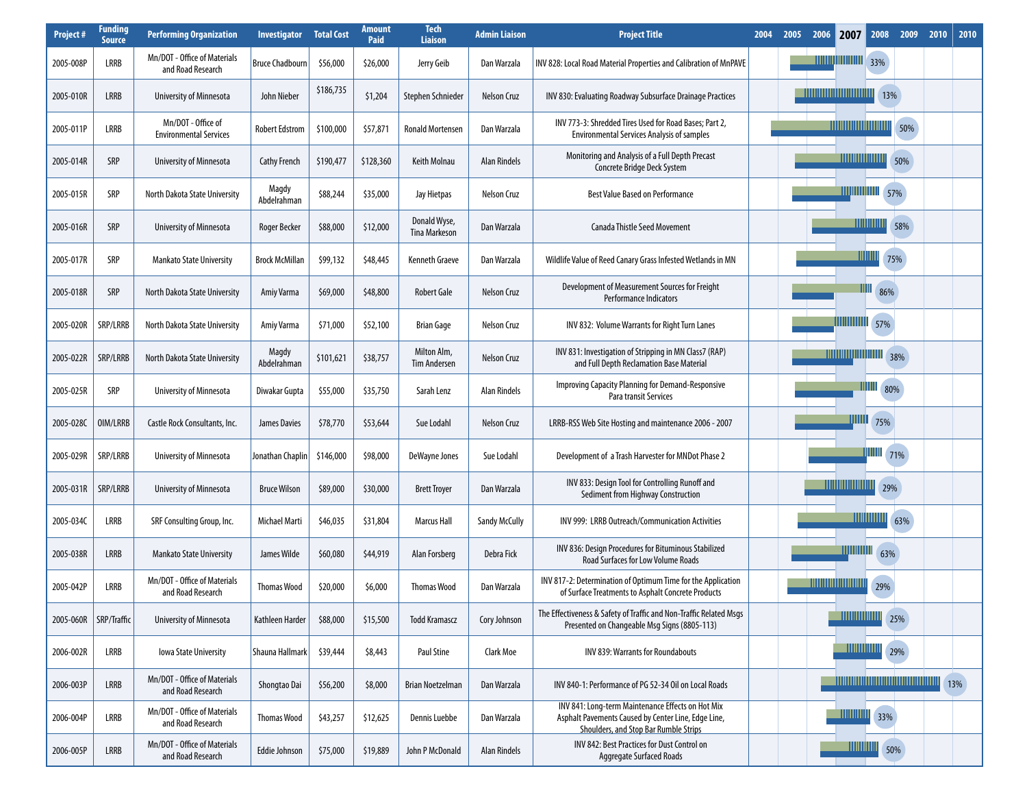| <b>Project#</b> | <b>Funding</b><br><b>Source</b> | <b>Performing Organization</b>                      | <b>Investigator</b>    | <b>Total Cost</b> | <b>Amount</b><br>Paid | <b>Tech</b><br><b>Liaison</b>        | <b>Admin Liaison</b> | <b>Project Title</b>                                                                                                                                     | 2004 | 2005 | 2006 | 2007                     | 2008                     | 2009                                | 2010 | 2010 |
|-----------------|---------------------------------|-----------------------------------------------------|------------------------|-------------------|-----------------------|--------------------------------------|----------------------|----------------------------------------------------------------------------------------------------------------------------------------------------------|------|------|------|--------------------------|--------------------------|-------------------------------------|------|------|
| 2005-008P       | LRRB                            | Mn/DOT - Office of Materials<br>and Road Research   | <b>Bruce Chadbourn</b> | \$56,000          | \$26,000              | Jerry Geib                           | Dan Warzala          | INV 828: Local Road Material Properties and Calibration of MnPAVE                                                                                        |      |      |      | <b>TITULITII III</b>     | 33%                      |                                     |      |      |
| 2005-010R       | LRRB                            | University of Minnesota                             | John Nieber            | \$186,735         | \$1,204               | Stephen Schnieder                    | Nelson Cruz          | INV 830: Evaluating Roadway Subsurface Drainage Practices                                                                                                |      |      |      |                          | 13%                      |                                     |      |      |
| 2005-011P       | LRRB                            | Mn/DOT - Office of<br><b>Environmental Services</b> | <b>Robert Edstrom</b>  | \$100,000         | \$57,871              | <b>Ronald Mortensen</b>              | Dan Warzala          | INV 773-3: Shredded Tires Used for Road Bases; Part 2,<br><b>Environmental Services Analysis of samples</b>                                              |      |      |      |                          |                          | 50%                                 |      |      |
| 2005-014R       | SRP                             | University of Minnesota                             | <b>Cathy French</b>    | \$190,477         | \$128,360             | Keith Molnau                         | <b>Alan Rindels</b>  | Monitoring and Analysis of a Full Depth Precast<br>Concrete Bridge Deck System                                                                           |      |      |      | <u> HIIIIIIIIIIIIIII</u> |                          | 50%                                 |      |      |
| 2005-015R       | SRP                             | North Dakota State University                       | Magdy<br>Abdelrahman   | \$88,244          | \$35,000              | Jay Hietpas                          | Nelson Cruz          | <b>Best Value Based on Performance</b>                                                                                                                   |      |      |      |                          | <b>THE THE TELL S7%</b>  |                                     |      |      |
| 2005-016R       | SRP                             | University of Minnesota                             | Roger Becker           | \$88,000          | \$12,000              | Donald Wyse,<br><b>Tina Markeson</b> | Dan Warzala          | <b>Canada Thistle Seed Movement</b>                                                                                                                      |      |      |      |                          |                          | 58%                                 |      |      |
| 2005-017R       | SRP                             | <b>Mankato State University</b>                     | <b>Brock McMillan</b>  | \$99,132          | \$48,445              | <b>Kenneth Graeve</b>                | Dan Warzala          | Wildlife Value of Reed Canary Grass Infested Wetlands in MN                                                                                              |      |      |      |                          | <u> HIIIIIII</u><br>75%  |                                     |      |      |
| 2005-018R       | SRP                             | North Dakota State University                       | Amiy Varma             | \$69,000          | \$48,800              | <b>Robert Gale</b>                   | Nelson Cruz          | Development of Measurement Sources for Freight<br>Performance Indicators                                                                                 |      |      |      |                          | 86%                      |                                     |      |      |
| 2005-020R       | SRP/LRRB                        | North Dakota State University                       | Amiy Varma             | \$71,000          | \$52,100              | <b>Brian Gage</b>                    | Nelson Cruz          | INV 832: Volume Warrants for Right Turn Lanes                                                                                                            |      |      |      | <u>UIIIIIIIIIIII</u>     | 57%                      |                                     |      |      |
| 2005-022R       | SRP/LRRB                        | North Dakota State University                       | Magdy<br>Abdelrahman   | \$101,621         | \$38,757              | Milton Alm,<br><b>Tim Andersen</b>   | Nelson Cruz          | INV 831: Investigation of Stripping in MN Class7 (RAP)<br>and Full Depth Reclamation Base Material                                                       |      |      |      |                          | <b>THEFT READERS</b> 18% |                                     |      |      |
| 2005-025R       | SRP                             | University of Minnesota                             | Diwakar Gupta          | \$55,000          | \$35,750              | Sarah Lenz                           | <b>Alan Rindels</b>  | <b>Improving Capacity Planning for Demand-Responsive</b><br>Para transit Services                                                                        |      |      |      |                          | ШШ<br>80%                |                                     |      |      |
| 2005-028C       | OIM/LRRB                        | Castle Rock Consultants, Inc.                       | James Davies           | \$78,770          | \$53,644              | Sue Lodahl                           | <b>Nelson Cruz</b>   | LRRB-RSS Web Site Hosting and maintenance 2006 - 2007                                                                                                    |      |      |      | ШШ                       | 75%                      |                                     |      |      |
| 2005-029R       | SRP/LRRB                        | University of Minnesota                             | Jonathan Chaplin       | \$146,000         | \$98,000              | DeWayne Jones                        | Sue Lodahl           | Development of a Trash Harvester for MNDot Phase 2                                                                                                       |      |      |      |                          | <b>HIIII</b> 71%         |                                     |      |      |
| 2005-031R       | SRP/LRRB                        | University of Minnesota                             | <b>Bruce Wilson</b>    | \$89,000          | \$30,000              | <b>Brett Troyer</b>                  | Dan Warzala          | INV 833: Design Tool for Controlling Runoff and<br>Sediment from Highway Construction                                                                    |      |      |      |                          | 29%                      |                                     |      |      |
| 2005-034C       | LRRB                            | SRF Consulting Group, Inc.                          | Michael Marti          | \$46,035          | \$31,804              | <b>Marcus Hall</b>                   | <b>Sandy McCully</b> | INV 999: LRRB Outreach/Communication Activities                                                                                                          |      |      |      |                          | <b>HUILLING</b>          | 63%                                 |      |      |
| 2005-038R       | LRRB                            | <b>Mankato State University</b>                     | James Wilde            | \$60,080          | \$44,919              | Alan Forsberg                        | Debra Fick           | INV 836: Design Procedures for Bituminous Stabilized<br><b>Road Surfaces for Low Volume Roads</b>                                                        |      |      |      | <u>IIIIIIIIIIII</u>      | 63%                      |                                     |      |      |
| 2005-042P       | LRRB                            | Mn/DOT - Office of Materials<br>and Road Research   | <b>Thomas Wood</b>     | \$20,000          | \$6,000               | <b>Thomas Wood</b>                   | Dan Warzala          | INV 817-2: Determination of Optimum Time for the Application<br>of Surface Treatments to Asphalt Concrete Products                                       |      |      |      |                          | 29%                      |                                     |      |      |
| 2005-060R       | SRP/Traffic                     | <b>University of Minnesota</b>                      | Kathleen Harder        | \$88,000          | \$15,500              | <b>Todd Kramascz</b>                 | Cory Johnson         | The Effectiveness & Safety of Traffic and Non-Traffic Related Msgs<br>Presented on Changeable Msg Signs (8805-113)                                       |      |      |      | <u> TIIHIIIIIIIIII</u>   |                          | 25%                                 |      |      |
| 2006-002R       | LRRB                            | <b>Iowa State University</b>                        | Shauna Hallmark        | \$39,444          | \$8,443               | Paul Stine                           | <b>Clark Moe</b>     | <b>INV 839: Warrants for Roundabouts</b>                                                                                                                 |      |      |      |                          | <b>THEFER 29%</b>        |                                     |      |      |
| 2006-003P       | LRRB                            | Mn/DOT - Office of Materials<br>and Road Research   | Shongtao Dai           | \$56,200          | \$8,000               | <b>Brian Noetzelman</b>              | Dan Warzala          | INV 840-1: Performance of PG 52-34 Oil on Local Roads                                                                                                    |      |      |      |                          |                          | <u> 1989 - Andrew Maria Barat (</u> |      | 13%  |
| 2006-004P       | LRRB                            | Mn/DOT - Office of Materials<br>and Road Research   | <b>Thomas Wood</b>     | \$43,257          | \$12,625              | Dennis Luebbe                        | Dan Warzala          | INV 841: Long-term Maintenance Effects on Hot Mix<br>Asphalt Pavements Caused by Center Line, Edge Line,<br><b>Shoulders, and Stop Bar Rumble Strips</b> |      |      |      | <u> Hillillilli</u>      | 33%                      |                                     |      |      |
| 2006-005P       | LRRB                            | Mn/DOT - Office of Materials<br>and Road Research   | <b>Eddie Johnson</b>   | \$75,000          | \$19,889              | John P McDonald                      | Alan Rindels         | INV 842: Best Practices for Dust Control on<br><b>Aggregate Surfaced Roads</b>                                                                           |      |      |      |                          | <b>THEFER 450%</b>       |                                     |      |      |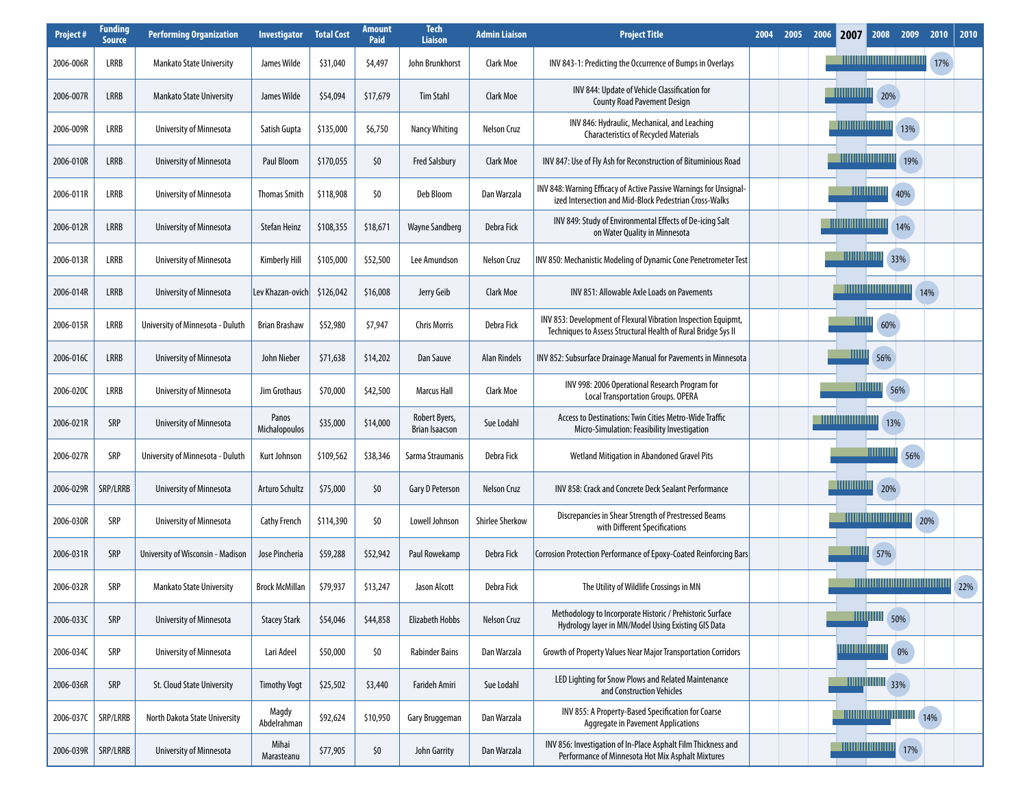| Project#  | <b>Funding</b><br><b>Source</b> | <b>Performing Organization</b>    | <b>Investigator</b>    | <b>Total Cost</b> | Amount<br>Paid | <b>Tech</b><br><b>Liaison</b>          | <b>Admin Liaison</b>   | <b>Project Title</b>                                                                                                            | 2004 | 2005 | 2006 | 2007                        | 2008                                | 2009                                       | 2010 | 2010 |
|-----------|---------------------------------|-----------------------------------|------------------------|-------------------|----------------|----------------------------------------|------------------------|---------------------------------------------------------------------------------------------------------------------------------|------|------|------|-----------------------------|-------------------------------------|--------------------------------------------|------|------|
| 2006-006R | LRRB                            | <b>Mankato State University</b>   | James Wilde            | \$31,040          | \$4,497        | John Brunkhorst                        | <b>Clark Moe</b>       | INV 843-1: Predicting the Occurrence of Bumps in Overlays                                                                       |      |      |      |                             |                                     |                                            | 17%  |      |
| 2006-007R | LRRB                            | <b>Mankato State University</b>   | James Wilde            | \$54,094          | \$17,679       | Tim Stahl                              | Clark Moe              | INV 844: Update of Vehicle Classification for<br><b>County Road Pavement Design</b>                                             |      |      |      |                             | 20%                                 |                                            |      |      |
| 2006-009R | LRRB                            | University of Minnesota           | Satish Gupta           | \$135,000         | \$6,750        | <b>Nancy Whiting</b>                   | Nelson Cruz            | INV 846: Hydraulic, Mechanical, and Leaching<br><b>Characteristics of Recycled Materials</b>                                    |      |      |      | <u>HIIIIIIIIIIIIIIIII</u>   |                                     | 13%                                        |      |      |
| 2006-010R | <b>LRRB</b>                     | University of Minnesota           | Paul Bloom             | \$170,055         | \$0            | <b>Fred Salsbury</b>                   | <b>Clark Moe</b>       | INV 847: Use of Fly Ash for Reconstruction of Bituminious Road                                                                  |      |      |      |                             |                                     | 19%                                        |      |      |
| 2006-011R | LRRB                            | University of Minnesota           | <b>Thomas Smith</b>    | \$118,908         | \$0            | Deb Bloom                              | Dan Warzala            | INV 848: Warning Efficacy of Active Passive Warnings for Unsignal-<br>ized Intersection and Mid-Block Pedestrian Cross-Walks    |      |      |      |                             |                                     | 40%                                        |      |      |
| 2006-012R | <b>LRRB</b>                     | University of Minnesota           | Stefan Heinz           | \$108,355         | \$18,671       | <b>Wayne Sandberg</b>                  | Debra Fick             | INV 849: Study of Environmental Effects of De-icing Salt<br>on Water Quality in Minnesota                                       |      |      |      |                             |                                     | 14%                                        |      |      |
| 2006-013R | LRRB                            | University of Minnesota           | <b>Kimberly Hill</b>   | \$105,000         | \$52,500       | Lee Amundson                           | <b>Nelson Cruz</b>     | INV 850: Mechanistic Modeling of Dynamic Cone Penetrometer Test                                                                 |      |      |      | <u> HIIIIIIIIIIIII</u>      |                                     | 33%                                        |      |      |
| 2006-014R | LRRB                            | University of Minnesota           | Lev Khazan-ovich       | \$126,042         | \$16,008       | Jerry Geib                             | Clark Moe              | INV 851: Allowable Axle Loads on Pavements                                                                                      |      |      |      |                             |                                     |                                            | 14%  |      |
| 2006-015R | LRRB                            | University of Minnesota - Duluth  | <b>Brian Brashaw</b>   | \$52,980          | \$7,947        | <b>Chris Morris</b>                    | Debra Fick             | INV 853: Development of Flexural Vibration Inspection Equipmt,<br>Techniques to Assess Structural Health of Rural Bridge Sys II |      |      |      | шш                          | 60%                                 |                                            |      |      |
| 2006-016C | <b>LRRB</b>                     | University of Minnesota           | John Nieber            | \$71,638          | \$14,202       | Dan Sauve                              | <b>Alan Rindels</b>    | INV 852: Subsurface Drainage Manual for Pavements in Minnesota                                                                  |      |      |      | TIIIII                      | 56%                                 |                                            |      |      |
| 2006-0200 | LRRB                            | University of Minnesota           | Jim Grothaus           | \$70,000          | \$42,500       | <b>Marcus Hall</b>                     | Clark Moe              | INV 998: 2006 Operational Research Program for<br><b>Local Transportation Groups. OPERA</b>                                     |      |      |      |                             | ШШ                                  | 56%                                        |      |      |
| 2006-021R | SRP                             | University of Minnesota           | Panos<br>Michalopoulos | \$35,000          | \$14,000       | Robert Byers,<br><b>Brian Isaacson</b> | Sue Lodahl             | Access to Destinations: Twin Cities Metro-Wide Traffic<br>Micro-Simulation: Feasibility Investigation                           |      |      |      | <u> Till Millighed Mari</u> |                                     | 13%                                        |      |      |
| 2006-027R | SRP                             | University of Minnesota - Duluth  | Kurt Johnson           | \$109,562         | \$38,346       | Sarma Straumanis                       | Debra Fick             | Wetland Mitigation in Abandoned Gravel Pits                                                                                     |      |      |      |                             |                                     | 56%                                        |      |      |
| 2006-029R | SRP/LRRB                        | University of Minnesota           | Arturo Schultz         | \$75,000          | \$0            | Gary D Peterson                        | Nelson Cruz            | INV 858: Crack and Concrete Deck Sealant Performance                                                                            |      |      |      | -----------                 | 20%                                 |                                            |      |      |
| 2006-030R | SRP                             | University of Minnesota           | <b>Cathy French</b>    | \$114,390         | \$0            | Lowell Johnson                         | <b>Shirlee Sherkow</b> | Discrepancies in Shear Strength of Prestressed Beams<br>with Different Specifications                                           |      |      |      |                             | <u> Hill Milligan Maria Milliga</u> |                                            | 20%  |      |
| 2006-031R | SRP                             | University of Wisconsin - Madison | Jose Pincheria         | \$59,288          | \$52,942       | Paul Rowekamp                          | Debra Fick             | Corrosion Protection Performance of Epoxy-Coated Reinforcing Bars                                                               |      |      |      | ШШ                          | 57%                                 |                                            |      |      |
| 2006-032R | SRP                             | <b>Mankato State University</b>   | <b>Brock McMillan</b>  | \$79,937          | \$13,247       | Jason Alcott                           | Debra Fick             | The Utility of Wildlife Crossings in MN                                                                                         |      |      |      |                             |                                     | <u> Hillingin Hillingin Hillingin Hill</u> |      | 22%  |
| 2006-033C | SRP                             | University of Minnesota           | <b>Stacey Stark</b>    | \$54,046          | \$44,858       | <b>Elizabeth Hobbs</b>                 | Nelson Cruz            | Methodology to Incorporate Historic / Prehistoric Surface<br>Hydrology layer in MN/Model Using Existing GIS Data                |      |      |      |                             | <b>THE THE 50%</b>                  |                                            |      |      |
| 2006-034C | SRP                             | University of Minnesota           | Lari Adeel             | \$50,000          | \$0            | <b>Rabinder Bains</b>                  | Dan Warzala            | Growth of Property Values Near Major Transportation Corridors                                                                   |      |      |      |                             |                                     | 0%                                         |      |      |
| 2006-036R | SRP                             | St. Cloud State University        | <b>Timothy Vogt</b>    | \$25,502          | \$3,440        | Farideh Amiri                          | Sue Lodahl             | LED Lighting for Snow Plows and Related Maintenance<br>and Construction Vehicles                                                |      |      |      |                             | $\frac{1}{1}$                       |                                            |      |      |
| 2006-037C | SRP/LRRB                        | North Dakota State University     | Magdy<br>Abdelrahman   | \$92,624          | \$10,950       | Gary Bruggeman                         | Dan Warzala            | INV 855: A Property-Based Specification for Coarse<br><b>Aggregate in Pavement Applications</b>                                 |      |      |      |                             |                                     | 14%                                        |      |      |
| 2006-039R | SRP/LRRB                        | University of Minnesota           | Mihai<br>Marasteanu    | \$77,905          | \$0            | John Garrity                           | Dan Warzala            | INV 856: Investigation of In-Place Asphalt Film Thickness and<br>Performance of Minnesota Hot Mix Asphalt Mixtures              |      |      |      |                             |                                     | <b>THEFER (17%)</b>                        |      |      |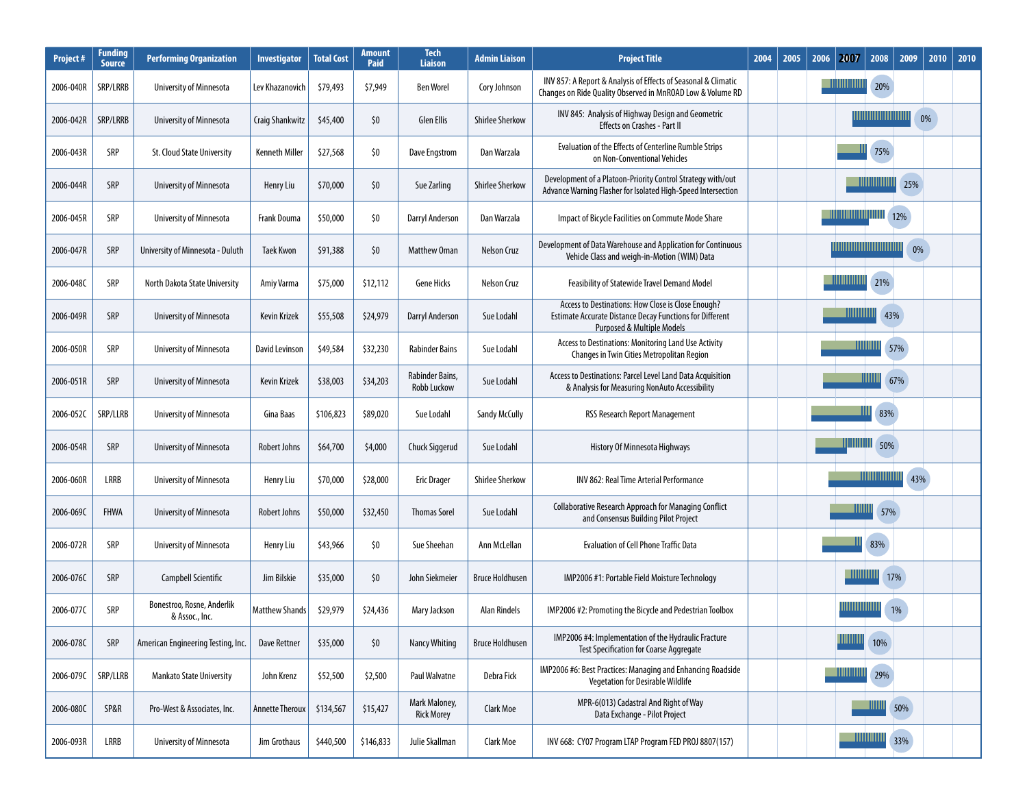| <b>Project#</b> | Funding<br>Source | <b>Performing Organization</b>               | Investigator           | <b>Total Cost</b> | Amount<br>Paid | <b>Tech</b><br><b>Liaison</b>      | <b>Admin Liaison</b>   | <b>Project Title</b>                                                                                                                                           | 2004 | 2005 | 2006 | 2007<br>2008              | 2009              | 2010 | 2010 |
|-----------------|-------------------|----------------------------------------------|------------------------|-------------------|----------------|------------------------------------|------------------------|----------------------------------------------------------------------------------------------------------------------------------------------------------------|------|------|------|---------------------------|-------------------|------|------|
| 2006-040R       | SRP/LRRB          | <b>University of Minnesota</b>               | Lev Khazanovich        | \$79,493          | \$7,949        | <b>Ben Worel</b>                   | Cory Johnson           | INV 857: A Report & Analysis of Effects of Seasonal & Climatic<br>Changes on Ride Quality Observed in MnROAD Low & Volume RD                                   |      |      |      |                           | 20%               |      |      |
| 2006-042R       | SRP/LRRB          | University of Minnesota                      | Craig Shankwitz        | \$45,400          | \$0            | <b>Glen Ellis</b>                  | <b>Shirlee Sherkow</b> | INV 845: Analysis of Highway Design and Geometric<br><b>Effects on Crashes - Part II</b>                                                                       |      |      |      |                           |                   | 0%   |      |
| 2006-043R       | SRP               | St. Cloud State University                   | <b>Kenneth Miller</b>  | \$27,568          | \$0            | Dave Engstrom                      | Dan Warzala            | <b>Evaluation of the Effects of Centerline Rumble Strips</b><br>on Non-Conventional Vehicles                                                                   |      |      |      |                           | 75%               |      |      |
| 2006-044R       | SRP               | University of Minnesota                      | Henry Liu              | \$70,000          | \$0            | Sue Zarling                        | <b>Shirlee Sherkow</b> | Development of a Platoon-Priority Control Strategy with/out<br>Advance Warning Flasher for Isolated High-Speed Intersection                                    |      |      |      | <b>THEFFEHREE</b>         | 25%               |      |      |
| 2006-045R       | SRP               | University of Minnesota                      | <b>Frank Douma</b>     | \$50,000          | \$0            | Darryl Anderson                    | Dan Warzala            | Impact of Bicycle Facilities on Commute Mode Share                                                                                                             |      |      |      |                           | 12%               |      |      |
| 2006-047R       | SRP               | University of Minnesota - Duluth             | <b>Taek Kwon</b>       | \$91,388          | \$0            | <b>Matthew Oman</b>                | <b>Nelson Cruz</b>     | Development of Data Warehouse and Application for Continuous<br>Vehicle Class and weigh-in-Motion (WIM) Data                                                   |      |      |      | ,,,,,,,,,,,,,,,,,,,,,,,   |                   | 0%   |      |
| 2006-048C       | SRP               | North Dakota State University                | Amiy Varma             | \$75,000          | \$12,112       | <b>Gene Hicks</b>                  | Nelson Cruz            | <b>Feasibility of Statewide Travel Demand Model</b>                                                                                                            |      |      |      |                           | 21%               |      |      |
| 2006-049R       | SRP               | University of Minnesota                      | Kevin Krizek           | \$55,508          | \$24,979       | Darryl Anderson                    | Sue Lodahl             | Access to Destinations: How Close is Close Enough?<br><b>Estimate Accurate Distance Decay Functions for Different</b><br><b>Purposed &amp; Multiple Models</b> |      |      |      | <u> HIIIIIIIIII</u>       | 43%               |      |      |
| 2006-050R       | SRP               | <b>University of Minnesota</b>               | David Levinson         | \$49,584          | \$32,230       | <b>Rabinder Bains</b>              | Sue Lodahl             | Access to Destinations: Monitoring Land Use Activity<br>Changes in Twin Cities Metropolitan Region                                                             |      |      |      | ШШШ                       | 57%               |      |      |
| 2006-051R       | SRP               | University of Minnesota                      | <b>Kevin Krizek</b>    | \$38,003          | \$34,203       | Rabinder Bains,<br>Robb Luckow     | Sue Lodahl             | Access to Destinations: Parcel Level Land Data Acquisition<br>& Analysis for Measuring NonAuto Accessibility                                                   |      |      |      | ШШ                        | 67%               |      |      |
| 2006-052C       | SRP/LLRB          | <b>University of Minnesota</b>               | Gina Baas              | \$106,823         | \$89,020       | Sue Lodahl                         | <b>Sandy McCully</b>   | RSS Research Report Management                                                                                                                                 |      |      |      |                           | 83%               |      |      |
| 2006-054R       | SRP               | University of Minnesota                      | Robert Johns           | \$64,700          | \$4,000        | <b>Chuck Siggerud</b>              | Sue Lodahl             | History Of Minnesota Highways                                                                                                                                  |      |      |      | WWWW                      | 50%               |      |      |
| 2006-060R       | LRRB              | University of Minnesota                      | Henry Liu              | \$70,000          | \$28,000       | <b>Eric Drager</b>                 | <b>Shirlee Sherkow</b> | INV 862: Real Time Arterial Performance                                                                                                                        |      |      |      |                           | ,,,,,,,,,,,,,,,,, | 43%  |      |
| 2006-069C       | FHWA              | University of Minnesota                      | Robert Johns           | \$50,000          | \$32,450       | <b>Thomas Sorel</b>                | Sue Lodahl             | <b>Collaborative Research Approach for Managing Conflict</b><br>and Consensus Building Pilot Project                                                           |      |      |      | ШШ                        | 57%               |      |      |
| 2006-072R       | SRP               | University of Minnesota                      | Henry Liu              | \$43,966          | \$0            | Sue Sheehan                        | Ann McLellan           | <b>Evaluation of Cell Phone Traffic Data</b>                                                                                                                   |      |      |      | 83%                       |                   |      |      |
| 2006-076C       | SRP               | Campbell Scientific                          | Jim Bilskie            | \$35,000          | \$0            | John Siekmeier                     | <b>Bruce Holdhusen</b> | IMP2006 #1: Portable Field Moisture Technology                                                                                                                 |      |      |      | <u> Hillillilli</u>       | 17%               |      |      |
| 2006-077C       | SRP               | Bonestroo, Rosne, Anderlik<br>& Assoc., Inc. | <b>Matthew Shands</b>  | \$29,979          | \$24,436       | Mary Jackson                       | Alan Rindels           | IMP2006 #2: Promoting the Bicycle and Pedestrian Toolbox                                                                                                       |      |      |      | <u>                </u>   | 1%                |      |      |
| 2006-078C       | SRP               | American Engineering Testing, Inc.           | Dave Rettner           | \$35,000          | \$0            | <b>Nancy Whiting</b>               | <b>Bruce Holdhusen</b> | IMP2006 #4: Implementation of the Hydraulic Fracture<br><b>Test Specification for Coarse Aggregate</b>                                                         |      |      |      | <u> Hillillill</u><br>10% |                   |      |      |
| 2006-079C       | SRP/LLRB          | <b>Mankato State University</b>              | John Krenz             | \$52,500          | \$2,500        | Paul Walvatne                      | Debra Fick             | IMP2006 #6: Best Practices: Managing and Enhancing Roadside<br><b>Vegetation for Desirable Wildlife</b>                                                        |      |      |      |                           | 29%               |      |      |
| 2006-080C       | SP&R              | Pro-West & Associates, Inc.                  | <b>Annette Theroux</b> | \$134,567         | \$15,427       | Mark Maloney,<br><b>Rick Morey</b> | Clark Moe              | MPR-6(013) Cadastral And Right of Way<br>Data Exchange - Pilot Project                                                                                         |      |      |      |                           | 50%               |      |      |
| 2006-093R       | LRRB              | <b>University of Minnesota</b>               | Jim Grothaus           | \$440,500         | \$146,833      | Julie Skallman                     | Clark Moe              | INV 668: CY07 Program LTAP Program FED PROJ 8807(157)                                                                                                          |      |      |      | <u> HIIIIIIIII</u>        | 33%               |      |      |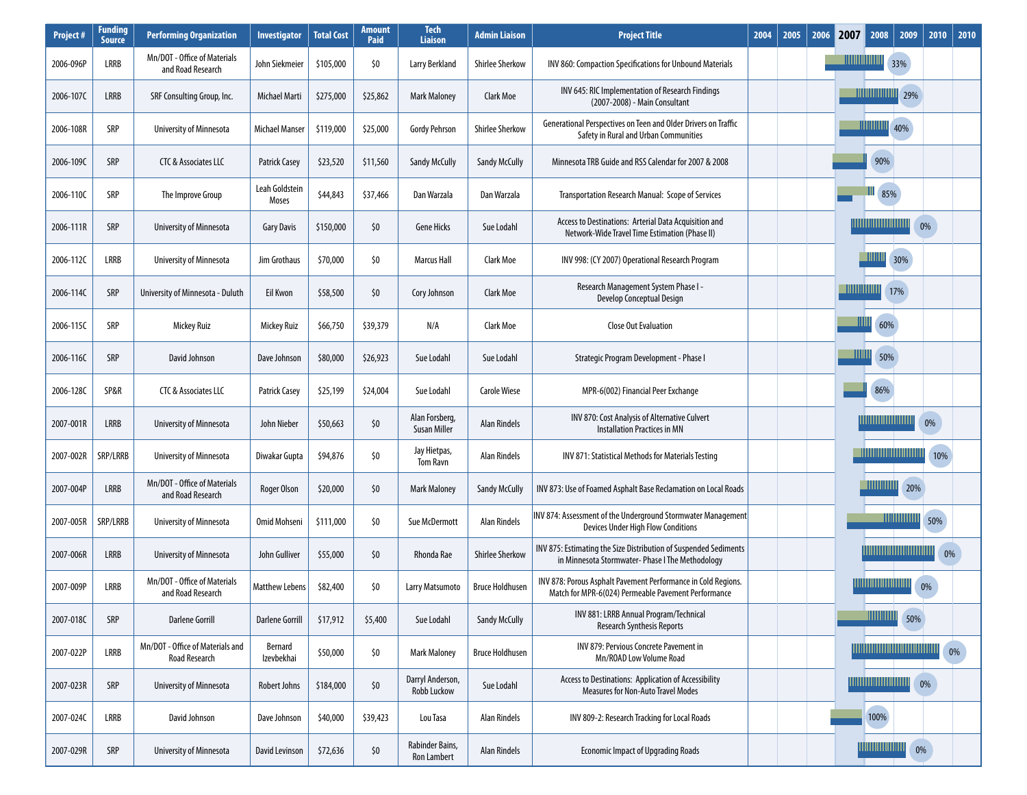| <b>Project#</b> | <b>Funding</b><br><b>Source</b> | <b>Performing Organization</b>                    | <b>Investigator</b>     | <b>Total Cost</b> | <b>Amount</b><br>Paid | <b>Tech</b><br><b>Liaison</b>         | <b>Admin Liaison</b>   | <b>Project Title</b>                                                                                                 | 2004 | 2005 | 2006 | 2007               | 2008                         | 2009 | 2010 | 2010 |
|-----------------|---------------------------------|---------------------------------------------------|-------------------------|-------------------|-----------------------|---------------------------------------|------------------------|----------------------------------------------------------------------------------------------------------------------|------|------|------|--------------------|------------------------------|------|------|------|
| 2006-096P       | LRRB                            | Mn/DOT - Office of Materials<br>and Road Research | John Siekmeier          | \$105,000         | \$0                   | Larry Berkland                        | <b>Shirlee Sherkow</b> | INV 860: Compaction Specifications for Unbound Materials                                                             |      |      |      | <u> Hillininin</u> |                              | 33%  |      |      |
| 2006-107C       | LRRB                            | SRF Consulting Group, Inc.                        | Michael Marti           | \$275,000         | \$25,862              | <b>Mark Maloney</b>                   | Clark Moe              | INV 645: RIC Implementation of Research Findings<br>(2007-2008) - Main Consultant                                    |      |      |      |                    | <b>TIMMUMMMMMMMMM</b> 29%    |      |      |      |
| 2006-108R       | SRP                             | University of Minnesota                           | Michael Manser          | \$119,000         | \$25,000              | <b>Gordy Pehrson</b>                  | <b>Shirlee Sherkow</b> | Generational Perspectives on Teen and Older Drivers on Traffic<br>Safety in Rural and Urban Communities              |      |      |      |                    |                              | 40%  |      |      |
| 2006-109C       | SRP                             | CTC & Associates LLC                              | <b>Patrick Casey</b>    | \$23,520          | \$11,560              | <b>Sandy McCully</b>                  | <b>Sandy McCully</b>   | Minnesota TRB Guide and RSS Calendar for 2007 & 2008                                                                 |      |      |      |                    | 90%                          |      |      |      |
| 2006-110C       | SRP                             | The Improve Group                                 | Leah Goldstein<br>Moses | \$44,843          | \$37,466              | Dan Warzala                           | Dan Warzala            | Transportation Research Manual: Scope of Services                                                                    |      |      |      |                    | 85%                          |      |      |      |
| 2006-111R       | SRP                             | University of Minnesota                           | <b>Gary Davis</b>       | \$150,000         | \$0                   | <b>Gene Hicks</b>                     | Sue Lodahl             | Access to Destinations: Arterial Data Acquisition and<br>Network-Wide Travel Time Estimation (Phase II)              |      |      |      |                    | <u>                    </u>  |      | 0%   |      |
| 2006-112C       | LRRB                            | University of Minnesota                           | Jim Grothaus            | \$70,000          | \$0                   | <b>Marcus Hall</b>                    | Clark Moe              | INV 998: (CY 2007) Operational Research Program                                                                      |      |      |      |                    | - 1111111                    | 30%  |      |      |
| 2006-1140       | SRP                             | University of Minnesota - Duluth                  | Eil Kwon                | \$58,500          | \$0                   | Cory Johnson                          | Clark Moe              | Research Management System Phase I -<br>Develop Conceptual Design                                                    |      |      |      |                    | 17%                          |      |      |      |
| 2006-115C       | SRP                             | Mickey Ruiz                                       | Mickey Ruiz             | \$66,750          | \$39,379              | N/A                                   | Clark Moe              | <b>Close Out Evaluation</b>                                                                                          |      |      |      | Ш                  | 60%                          |      |      |      |
| 2006-116C       | SRP                             | David Johnson                                     | Dave Johnson            | \$80,000          | \$26,923              | Sue Lodahl                            | Sue Lodahl             | Strategic Program Development - Phase I                                                                              |      |      |      | ШШ                 | 50%                          |      |      |      |
| 2006-128C       | SP&R                            | <b>CTC &amp; Associates LLC</b>                   | Patrick Casey           | \$25,199          | \$24,004              | Sue Lodahl                            | <b>Carole Wiese</b>    | MPR-6(002) Financial Peer Exchange                                                                                   |      |      |      |                    | 86%                          |      |      |      |
| 2007-001R       | LRRB                            | University of Minnesota                           | John Nieber             | \$50,663          | \$0                   | Alan Forsberg,<br>Susan Miller        | <b>Alan Rindels</b>    | INV 870: Cost Analysis of Alternative Culvert<br><b>Installation Practices in MN</b>                                 |      |      |      |                    |                              |      | 0%   |      |
| 2007-002R       | SRP/LRRB                        | University of Minnesota                           | Diwakar Gupta           | \$94,876          | \$0                   | Jay Hietpas,<br><b>Tom Ravn</b>       | Alan Rindels           | INV 871: Statistical Methods for Materials Testing                                                                   |      |      |      |                    | <u> HIIIMIIIIIIIIIIIIIII</u> |      | 10%  |      |
| 2007-004P       | LRRB                            | Mn/DOT - Office of Materials<br>and Road Research | Roger Olson             | \$20,000          | \$0                   | <b>Mark Maloney</b>                   | <b>Sandy McCully</b>   | INV 873: Use of Foamed Asphalt Base Reclamation on Local Roads                                                       |      |      |      |                    |                              | 20%  |      |      |
| 2007-005R       | SRP/LRRB                        | University of Minnesota                           | Omid Mohseni            | \$111,000         | \$0                   | Sue McDermott                         | <b>Alan Rindels</b>    | INV 874: Assessment of the Underground Stormwater Management<br><b>Devices Under High Flow Conditions</b>            |      |      |      |                    |                              |      | 50%  |      |
| 2007-006R       | LRRB                            | University of Minnesota                           | John Gulliver           | \$55,000          | \$0                   | Rhonda Rae                            | <b>Shirlee Sherkow</b> | INV 875: Estimating the Size Distribution of Suspended Sediments<br>in Minnesota Stormwater-Phase I The Methodology  |      |      |      |                    |                              |      | 0%   |      |
| 2007-009P       | LRRB                            | Mn/DOT - Office of Materials<br>and Road Research | Matthew Lebens          | \$82,400          | \$0                   | Larry Matsumoto                       | <b>Bruce Holdhusen</b> | INV 878: Porous Asphalt Pavement Performance in Cold Regions.<br>Match for MPR-6(024) Permeable Pavement Performance |      |      |      |                    |                              |      | 0%   |      |
| 2007-018C       | SRP                             | <b>Darlene Gorrill</b>                            | <b>Darlene Gorrill</b>  | \$17,912          | \$5,400               | Sue Lodahl                            | <b>Sandy McCully</b>   | INV 881: LRRB Annual Program/Technical<br><b>Research Synthesis Reports</b>                                          |      |      |      |                    | <u> HIIIIIIIIII</u>          | 50%  |      |      |
| 2007-022P       | LRRB                            | Mn/DOT - Office of Materials and<br>Road Research | Bernard<br>Izevbekhai   | \$50,000          | \$0                   | <b>Mark Maloney</b>                   | <b>Bruce Holdhusen</b> | INV 879: Pervious Concrete Pavement in<br>Mn/ROAD Low Volume Road                                                    |      |      |      |                    |                              |      |      | 0%   |
| 2007-023R       | SRP                             | University of Minnesota                           | Robert Johns            | \$184,000         | \$0                   | Darryl Anderson,<br>Robb Luckow       | Sue Lodahl             | Access to Destinations: Application of Accessibility<br><b>Measures for Non-Auto Travel Modes</b>                    |      |      |      |                    |                              |      | 0%   |      |
| 2007-024C       | LRRB                            | David Johnson                                     | Dave Johnson            | \$40,000          | \$39,423              | Lou Tasa                              | <b>Alan Rindels</b>    | INV 809-2: Research Tracking for Local Roads                                                                         |      |      |      |                    | 100%                         |      |      |      |
| 2007-029R       | SRP                             | University of Minnesota                           | David Levinson          | \$72,636          | \$0                   | Rabinder Bains,<br><b>Ron Lambert</b> | <b>Alan Rindels</b>    | <b>Economic Impact of Upgrading Roads</b>                                                                            |      |      |      |                    | <u> HIIIIIIIIIIIIIIII</u>    | 0%   |      |      |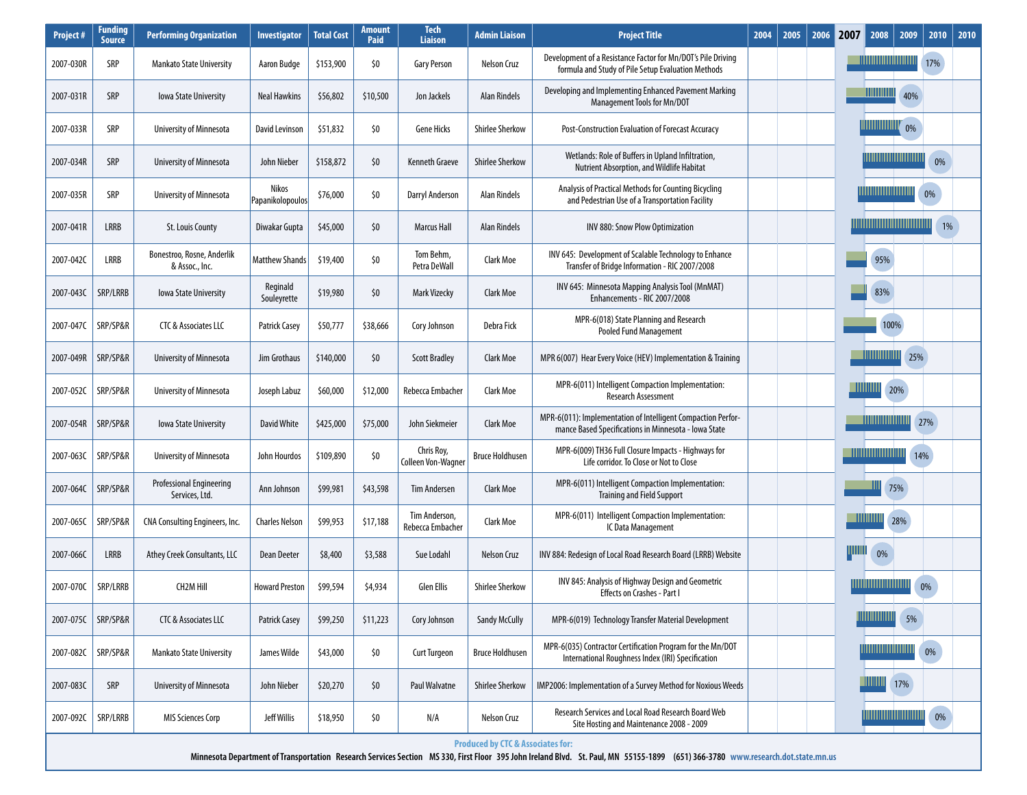| <b>Project#</b> | Funding<br><b>Source</b> | <b>Performing Organization</b>                    | <b>Investigator</b>       | <b>Total Cost</b> | Amount<br>Paid | <b>Tech</b><br><b>Liaison</b>           | <b>Admin Liaison</b>                         | <b>Project Title</b>                                                                                                 | 2004 | 2005 | 2006 | 2007  | 2008<br>2009                                                                                     | 2010 | 2010 |  |  |
|-----------------|--------------------------|---------------------------------------------------|---------------------------|-------------------|----------------|-----------------------------------------|----------------------------------------------|----------------------------------------------------------------------------------------------------------------------|------|------|------|-------|--------------------------------------------------------------------------------------------------|------|------|--|--|
| 2007-030R       | SRP                      | Mankato State University                          | Aaron Budge               | \$153,900         | \$0            | <b>Gary Person</b>                      | <b>Nelson Cruz</b>                           | Development of a Resistance Factor for Mn/DOT's Pile Driving<br>formula and Study of Pile Setup Evaluation Methods   |      |      |      |       | <u> HIIIIIIIIIIIIIIIIII</u>                                                                      | 17%  |      |  |  |
| 2007-031R       | SRP                      | lowa State University                             | <b>Neal Hawkins</b>       | \$56,802          | \$10,500       | Jon Jackels                             | <b>Alan Rindels</b>                          | Developing and Implementing Enhanced Pavement Marking<br>Management Tools for Mn/DOT                                 |      |      |      |       | WWWWW<br>40%                                                                                     |      |      |  |  |
| 2007-033R       | SRP                      | University of Minnesota                           | David Levinson            | \$51,832          | \$0            | <b>Gene Hicks</b>                       | <b>Shirlee Sherkow</b>                       | Post-Construction Evaluation of Forecast Accuracy                                                                    |      |      |      |       | <u> HIIIIIIIIIIIII</u><br>0%                                                                     |      |      |  |  |
| 2007-034R       | SRP                      | University of Minnesota                           | John Nieber               | \$158,872         | \$0            | Kenneth Graeve                          | <b>Shirlee Sherkow</b>                       | Wetlands: Role of Buffers in Upland Infiltration,<br><b>Nutrient Absorption, and Wildlife Habitat</b>                |      |      |      |       |                                                                                                  | 0%   |      |  |  |
| 2007-035R       | SRP                      | University of Minnesota                           | Nikos<br>Papanikolopoulos | \$76,000          | \$0            | <b>Darryl Anderson</b>                  | Alan Rindels                                 | Analysis of Practical Methods for Counting Bicycling<br>and Pedestrian Use of a Transportation Facility              |      |      |      |       |                                                                                                  | 0%   |      |  |  |
| 2007-041R       | <b>LRRB</b>              | St. Louis County                                  | Diwakar Gupta             | \$45,000          | \$0            | <b>Marcus Hall</b>                      | <b>Alan Rindels</b>                          | INV 880: Snow Plow Optimization                                                                                      |      |      |      |       | <u> 1111111111111111111111111111111</u>                                                          |      | 1%   |  |  |
| 2007-042C       | LRRB                     | Bonestroo, Rosne, Anderlik<br>& Assoc., Inc.      | <b>Matthew Shands</b>     | \$19,400          | \$0            | Tom Behm,<br>Petra DeWall               | Clark Moe                                    | INV 645: Development of Scalable Technology to Enhance<br>Transfer of Bridge Information - RIC 2007/2008             |      |      |      |       | 95%                                                                                              |      |      |  |  |
| 2007-043C       | SRP/LRRB                 | lowa State University                             | Reginald<br>Souleyrette   | \$19,980          | \$0            | <b>Mark Vizecky</b>                     | Clark Moe                                    | INV 645: Minnesota Mapping Analysis Tool (MnMAT)<br>Enhancements - RIC 2007/2008                                     |      |      |      |       |                                                                                                  |      | 83%  |  |  |
| 2007-047C       | SRP/SP&R                 | CTC & Associates LLC                              | <b>Patrick Casey</b>      | \$50,777          | \$38,666       | Cory Johnson                            | Debra Fick                                   | MPR-6(018) State Planning and Research<br><b>Pooled Fund Management</b>                                              |      |      |      | 100%  |                                                                                                  |      |      |  |  |
| 2007-049R       | SRP/SP&R                 | University of Minnesota                           | Jim Grothaus              | \$140,000         | \$0            | <b>Scott Bradley</b>                    | Clark Moe                                    | MPR 6(007) Hear Every Voice (HEV) Implementation & Training                                                          |      |      |      |       |                                                                                                  | 25%  |      |  |  |
| 2007-052C       | SRP/SP&R                 | University of Minnesota                           | Joseph Labuz              | \$60,000          | \$12,000       | Rebecca Embacher                        | Clark Moe                                    | MPR-6(011) Intelligent Compaction Implementation:<br>Research Assessment                                             |      |      |      |       | <u>- Hillillill</u><br>20%                                                                       |      |      |  |  |
| 2007-054R       | SRP/SP&R                 | lowa State University                             | David White               | \$425,000         | \$75,000       | John Siekmeier                          | <b>Clark Moe</b>                             | MPR-6(011): Implementation of Intelligent Compaction Perfor-<br>mance Based Specifications in Minnesota - Iowa State |      |      |      |       | <u> Hillillillillillilli</u>                                                                     | 27%  |      |  |  |
| 2007-063C       | SRP/SP&R                 | University of Minnesota                           | John Hourdos              | \$109,890         | \$0            | Chris Roy,<br><b>Colleen Von-Wagner</b> | <b>Bruce Holdhusen</b>                       | MPR-6(009) TH36 Full Closure Impacts - Highways for<br>Life corridor. To Close or Not to Close                       |      |      |      |       | <u> Hillinin minimi</u>                                                                          | 14%  |      |  |  |
| 2007-064C       | SRP/SP&R                 | <b>Professional Engineering</b><br>Services, Ltd. | Ann Johnson               | \$99,981          | \$43,598       | <b>Tim Andersen</b>                     | Clark Moe                                    | MPR-6(011) Intelligent Compaction Implementation:<br><b>Training and Field Support</b>                               |      |      |      |       | 75%                                                                                              |      |      |  |  |
| 2007-065C       | SRP/SP&R                 | CNA Consulting Engineers, Inc.                    | <b>Charles Nelson</b>     | \$99,953          | \$17,188       | Tim Anderson,<br>Rebecca Embacher       | Clark Moe                                    | MPR-6(011) Intelligent Compaction Implementation:<br>IC Data Management                                              |      |      |      |       | $\blacksquare$ $\blacksquare$ $\blacksquare$ $\blacksquare$ $\blacksquare$ $\blacksquare$<br>28% |      |      |  |  |
| 2007-066C       | <b>LRRB</b>              | Athey Creek Consultants, LLC                      | Dean Deeter               | \$8,400           | \$3,588        | Sue Lodahl                              | <b>Nelson Cruz</b>                           | INV 884: Redesign of Local Road Research Board (LRRB) Website                                                        |      |      |      | ЩЩ    | 0%                                                                                               |      |      |  |  |
| 2007-070C       | SRP/LRRB                 | <b>CH2M Hill</b>                                  | <b>Howard Preston</b>     | \$99,594          | \$4,934        | <b>Glen Ellis</b>                       | <b>Shirlee Sherkow</b>                       | INV 845: Analysis of Highway Design and Geometric<br><b>Effects on Crashes - Part I</b>                              |      |      |      |       | <u>                     </u>                                                                     | 0%   |      |  |  |
| 2007-075C       | SRP/SP&R                 | CTC & Associates LLC                              | <b>Patrick Casey</b>      | \$99,250          | \$11,223       | Cory Johnson                            | <b>Sandy McCully</b>                         | MPR-6(019) Technology Transfer Material Development                                                                  |      |      |      |       | $5\%$                                                                                            |      |      |  |  |
| 2007-082C       | SRP/SP&R                 | <b>Mankato State University</b>                   | James Wilde               | \$43,000          | \$0            | <b>Curt Turgeon</b>                     | <b>Bruce Holdhusen</b>                       | MPR-6(035) Contractor Certification Program for the Mn/DOT<br>International Roughness Index (IRI) Specification      |      |      |      | $0\%$ |                                                                                                  |      |      |  |  |
| 2007-083C       | SRP                      | University of Minnesota                           | John Nieber               | \$20,270          | \$0            | <b>Paul Walvatne</b>                    | <b>Shirlee Sherkow</b>                       | IMP2006: Implementation of a Survey Method for Noxious Weeds                                                         |      |      |      |       | <u> Hillin</u><br>17%                                                                            |      |      |  |  |
| 2007-092C       | SRP/LRRB                 | <b>MIS Sciences Corp</b>                          | <b>Jeff Willis</b>        | \$18,950          | \$0            | N/A                                     | Nelson Cruz                                  | Research Services and Local Road Research Board Web<br>Site Hosting and Maintenance 2008 - 2009                      |      |      |      |       |                                                                                                  | 0%   |      |  |  |
|                 |                          |                                                   |                           |                   |                |                                         | <b>Produced by CTC &amp; Associates for:</b> |                                                                                                                      |      |      |      |       |                                                                                                  |      |      |  |  |

**Minnesota Department of Transportation Research Services Section MS 330, First Floor 395 John Ireland Blvd. St. Paul, MN 55155-1899 (651) 366-3780 www.research.dot.state.mn.us**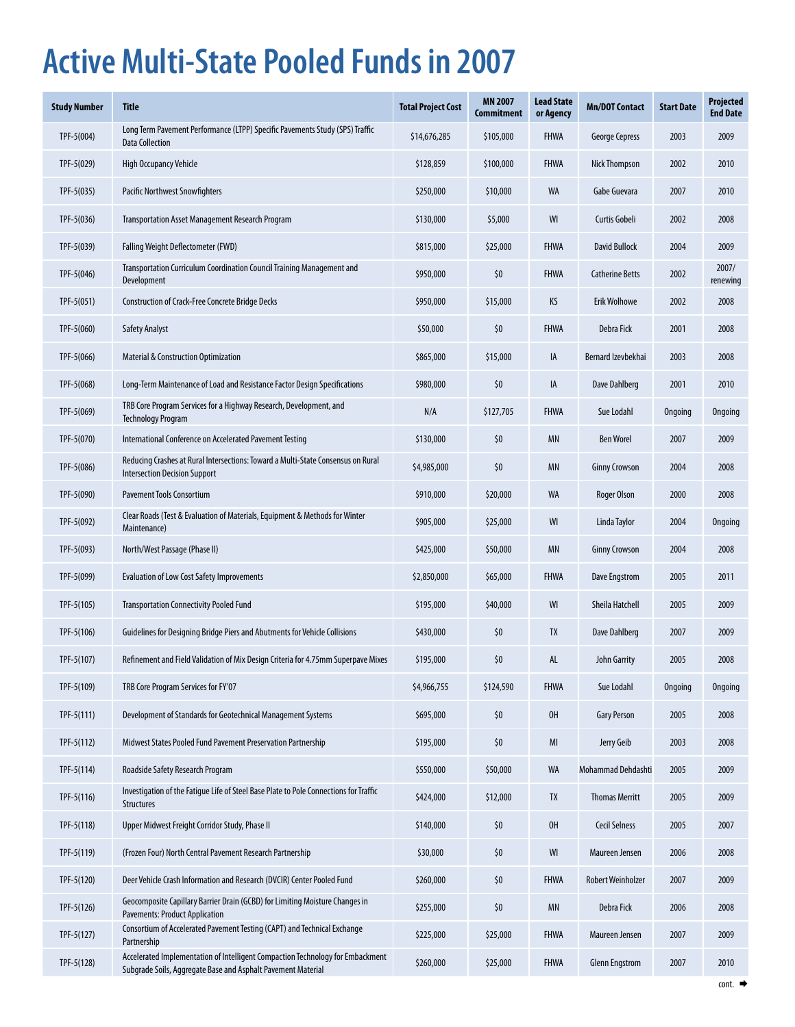# **Active Multi-State Pooled Funds in 2007**

| Study Number | <b>Title</b>                                                                                                                                   | <b>Total Project Cost</b> | <b>MN 2007</b><br>Commitment | <b>Lead State</b><br>or Agency | <b>Mn/DOT Contact</b>    | <b>Start Date</b> | <b>Projected</b><br><b>End Date</b> |
|--------------|------------------------------------------------------------------------------------------------------------------------------------------------|---------------------------|------------------------------|--------------------------------|--------------------------|-------------------|-------------------------------------|
| TPF-5(004)   | Long Term Pavement Performance (LTPP) Specific Pavements Study (SPS) Traffic<br><b>Data Collection</b>                                         | \$14,676,285              | \$105,000                    | <b>FHWA</b>                    | <b>George Cepress</b>    | 2003              | 2009                                |
| TPF-5(029)   | High Occupancy Vehicle                                                                                                                         | \$128,859                 | \$100,000                    | <b>FHWA</b>                    | <b>Nick Thompson</b>     | 2002              | 2010                                |
| $TF-5(035)$  | Pacific Northwest Snowfighters                                                                                                                 | \$250,000                 | \$10,000                     | WA                             | Gabe Guevara             | 2007              | 2010                                |
| $TF-5(036)$  | <b>Transportation Asset Management Research Program</b>                                                                                        | \$130,000                 | \$5,000                      | WI                             | Curtis Gobeli            | 2002              | 2008                                |
| $TF-5(039)$  | Falling Weight Deflectometer (FWD)                                                                                                             | \$815,000                 | \$25,000                     | <b>FHWA</b>                    | <b>David Bullock</b>     | 2004              | 2009                                |
| TPF-5(046)   | Transportation Curriculum Coordination Council Training Management and<br>Development                                                          | \$950,000                 | \$0                          | <b>FHWA</b>                    | <b>Catherine Betts</b>   | 2002              | 2007/<br>renewing                   |
| $TF-5(051)$  | <b>Construction of Crack-Free Concrete Bridge Decks</b>                                                                                        | \$950,000                 | \$15,000                     | KS                             | <b>Erik Wolhowe</b>      | 2002              | 2008                                |
| $TF-5(060)$  | <b>Safety Analyst</b>                                                                                                                          | \$50,000                  | \$0                          | <b>FHWA</b>                    | Debra Fick               | 2001              | 2008                                |
| $TF-5(066)$  | <b>Material &amp; Construction Optimization</b>                                                                                                | \$865,000                 | \$15,000                     | IA                             | Bernard Izevbekhai       | 2003              | 2008                                |
| TPF-5(068)   | Long-Term Maintenance of Load and Resistance Factor Design Specifications                                                                      | \$980,000                 | \$0                          | IA                             | Dave Dahlberg            | 2001              | 2010                                |
| $TF-5(069)$  | TRB Core Program Services for a Highway Research, Development, and<br><b>Technology Program</b>                                                | N/A                       | \$127,705                    | <b>FHWA</b>                    | Sue Lodahl               | Ongoing           | Ongoing                             |
| TPF-5(070)   | International Conference on Accelerated Pavement Testing                                                                                       | \$130,000                 | \$0                          | ΜN                             | <b>Ben Worel</b>         | 2007              | 2009                                |
| TPF-5(086)   | Reducing Crashes at Rural Intersections: Toward a Multi-State Consensus on Rural<br><b>Intersection Decision Support</b>                       | \$4,985,000               | \$0                          | ΜN                             | <b>Ginny Crowson</b>     | 2004              | 2008                                |
| TPF-5(090)   | <b>Pavement Tools Consortium</b>                                                                                                               | \$910,000                 | \$20,000                     | <b>WA</b>                      | Roger Olson              | 2000              | 2008                                |
| TPF-5(092)   | Clear Roads (Test & Evaluation of Materials, Equipment & Methods for Winter<br>Maintenance)                                                    | \$905,000                 | \$25,000                     | WI                             | Linda Taylor             | 2004              | Ongoing                             |
| $TF-5(093)$  | North/West Passage (Phase II)                                                                                                                  | \$425,000                 | \$50,000                     | ΜN                             | <b>Ginny Crowson</b>     | 2004              | 2008                                |
| TPF-5(099)   | <b>Evaluation of Low Cost Safety Improvements</b>                                                                                              | \$2,850,000               | \$65,000                     | <b>FHWA</b>                    | Dave Engstrom            | 2005              | 2011                                |
| $TF-5(105)$  | <b>Transportation Connectivity Pooled Fund</b>                                                                                                 | \$195,000                 | \$40,000                     | WI                             | <b>Sheila Hatchell</b>   | 2005              | 2009                                |
| TPF-5(106)   | Guidelines for Designing Bridge Piers and Abutments for Vehicle Collisions                                                                     | \$430,000                 | \$0                          | TX                             | Dave Dahlberg            | 2007              | 2009                                |
| $TF-5(107)$  | Refinement and Field Validation of Mix Design Criteria for 4.75mm Superpave Mixes                                                              | \$195,000                 | \$0                          | AL                             | <b>John Garrity</b>      | 2005              | 2008                                |
| TPF-5(109)   | TRB Core Program Services for FY'07                                                                                                            | \$4,966,755               | \$124,590                    | <b>FHWA</b>                    | Sue Lodahl               | Ongoing           | Ongoing                             |
| $TF-5(111)$  | Development of Standards for Geotechnical Management Systems                                                                                   | \$695,000                 | \$0                          | 0H                             | <b>Gary Person</b>       | 2005              | 2008                                |
| $TF-5(112)$  | Midwest States Pooled Fund Pavement Preservation Partnership                                                                                   | \$195,000                 | \$0                          | MI                             | Jerry Geib               | 2003              | 2008                                |
| $TF-5(114)$  | Roadside Safety Research Program                                                                                                               | \$550,000                 | \$50,000                     | WA                             | Mohammad Dehdashti       | 2005              | 2009                                |
| TPF-5(116)   | Investigation of the Fatigue Life of Steel Base Plate to Pole Connections for Traffic<br><b>Structures</b>                                     | \$424,000                 | \$12,000                     | TX                             | <b>Thomas Merritt</b>    | 2005              | 2009                                |
| TPF-5(118)   | Upper Midwest Freight Corridor Study, Phase II                                                                                                 | \$140,000                 | \$0                          | OH                             | <b>Cecil Selness</b>     | 2005              | 2007                                |
| TPF-5(119)   | (Frozen Four) North Central Pavement Research Partnership                                                                                      | \$30,000                  | \$0                          | WI                             | Maureen Jensen           | 2006              | 2008                                |
| $TF-5(120)$  | Deer Vehicle Crash Information and Research (DVCIR) Center Pooled Fund                                                                         | \$260,000                 | \$0                          | <b>FHWA</b>                    | <b>Robert Weinholzer</b> | 2007              | 2009                                |
| TPF-5(126)   | Geocomposite Capillary Barrier Drain (GCBD) for Limiting Moisture Changes in<br><b>Pavements: Product Application</b>                          | \$255,000                 | \$0                          | MN                             | Debra Fick               | 2006              | 2008                                |
| $TPF-5(127)$ | Consortium of Accelerated Pavement Testing (CAPT) and Technical Exchange<br>Partnership                                                        | \$225,000                 | \$25,000                     | <b>FHWA</b>                    | Maureen Jensen           | 2007              | 2009                                |
| TPF-5(128)   | Accelerated Implementation of Intelligent Compaction Technology for Embackment<br>Subgrade Soils, Aggregate Base and Asphalt Pavement Material | \$260,000                 | \$25,000                     | <b>FHWA</b>                    | <b>Glenn Engstrom</b>    | 2007              | 2010                                |